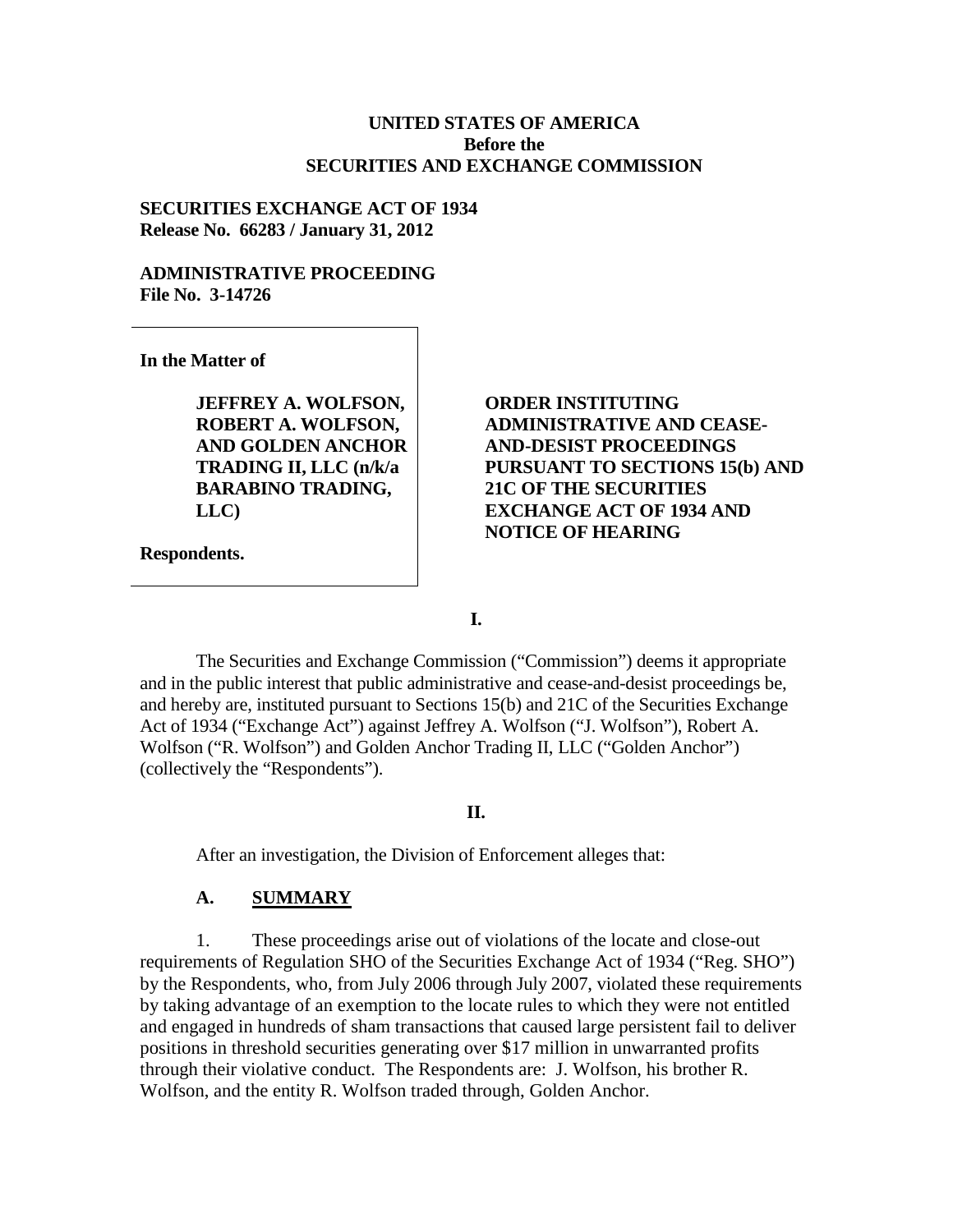#### **UNITED STATES OF AMERICA Before the SECURITIES AND EXCHANGE COMMISSION**

### **SECURITIES EXCHANGE ACT OF 1934 Release No. 66283 / January 31, 2012**

### **ADMINISTRATIVE PROCEEDING File No. 3-14726**

**In the Matter of**

**JEFFREY A. WOLFSON, ROBERT A. WOLFSON, AND GOLDEN ANCHOR TRADING II, LLC (n/k/a BARABINO TRADING, LLC)**

**Respondents.**

**ORDER INSTITUTING ADMINISTRATIVE AND CEASE-AND-DESIST PROCEEDINGS PURSUANT TO SECTIONS 15(b) AND 21C OF THE SECURITIES EXCHANGE ACT OF 1934 AND NOTICE OF HEARING**

**I.**

The Securities and Exchange Commission ("Commission") deems it appropriate and in the public interest that public administrative and cease-and-desist proceedings be, and hereby are, instituted pursuant to Sections 15(b) and 21C of the Securities Exchange Act of 1934 ("Exchange Act") against Jeffrey A. Wolfson ("J. Wolfson"), Robert A. Wolfson ("R. Wolfson") and Golden Anchor Trading II, LLC ("Golden Anchor") (collectively the "Respondents").

#### **II.**

After an investigation, the Division of Enforcement alleges that:

### **A. SUMMARY**

1. These proceedings arise out of violations of the locate and close-out requirements of Regulation SHO of the Securities Exchange Act of 1934 ("Reg. SHO") by the Respondents, who, from July 2006 through July 2007, violated these requirements by taking advantage of an exemption to the locate rules to which they were not entitled and engaged in hundreds of sham transactions that caused large persistent fail to deliver positions in threshold securities generating over \$17 million in unwarranted profits through their violative conduct. The Respondents are: J. Wolfson, his brother R. Wolfson, and the entity R. Wolfson traded through, Golden Anchor.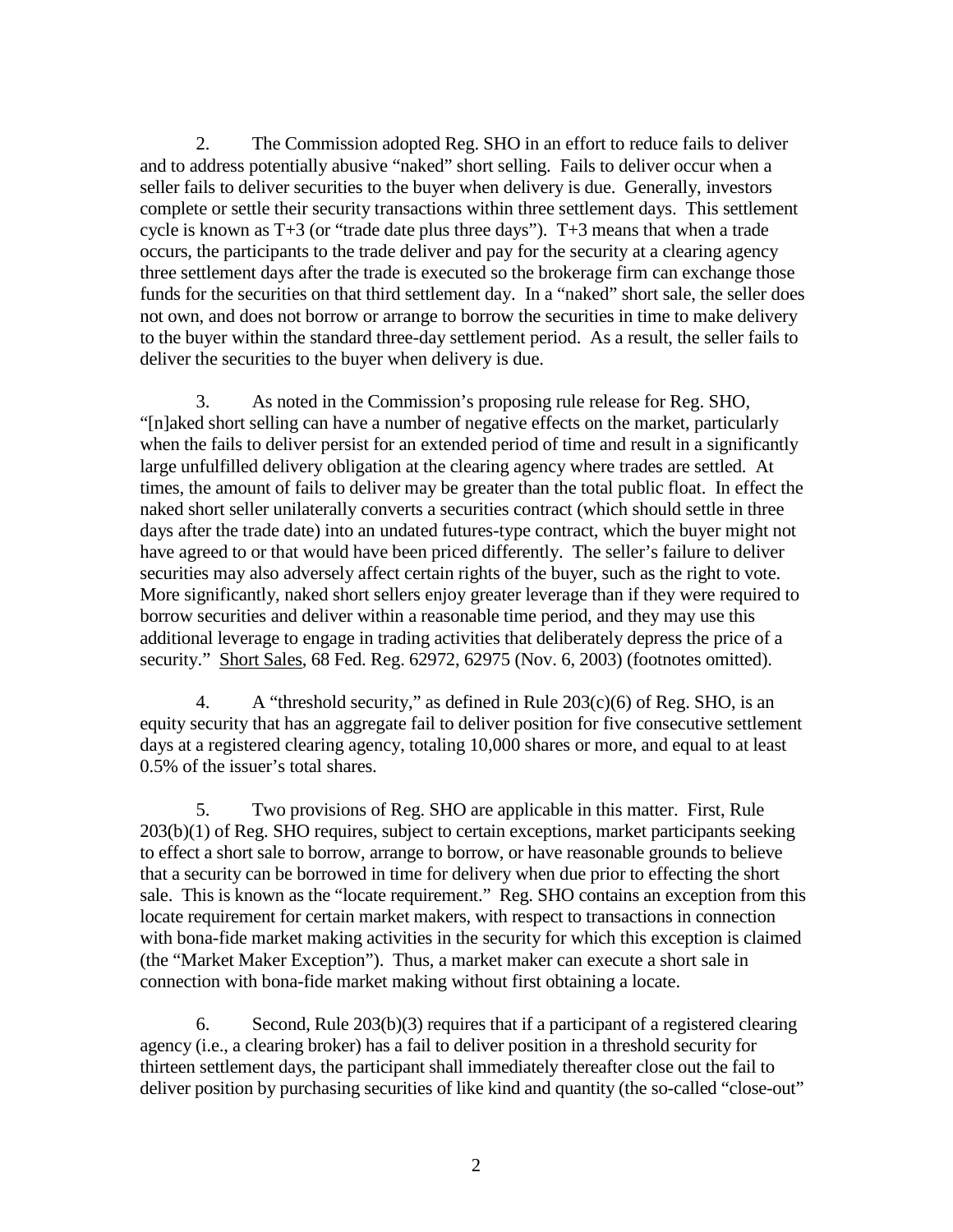2. The Commission adopted Reg. SHO in an effort to reduce fails to deliver and to address potentially abusive "naked" short selling. Fails to deliver occur when a seller fails to deliver securities to the buyer when delivery is due. Generally, investors complete or settle their security transactions within three settlement days. This settlement cycle is known as T+3 (or "trade date plus three days"). T+3 means that when a trade occurs, the participants to the trade deliver and pay for the security at a clearing agency three settlement days after the trade is executed so the brokerage firm can exchange those funds for the securities on that third settlement day. In a "naked" short sale, the seller does not own, and does not borrow or arrange to borrow the securities in time to make delivery to the buyer within the standard three-day settlement period. As a result, the seller fails to deliver the securities to the buyer when delivery is due.

3. As noted in the Commission's proposing rule release for Reg. SHO, "[n]aked short selling can have a number of negative effects on the market, particularly when the fails to deliver persist for an extended period of time and result in a significantly large unfulfilled delivery obligation at the clearing agency where trades are settled. At times, the amount of fails to deliver may be greater than the total public float. In effect the naked short seller unilaterally converts a securities contract (which should settle in three days after the trade date) into an undated futures-type contract, which the buyer might not have agreed to or that would have been priced differently. The seller's failure to deliver securities may also adversely affect certain rights of the buyer, such as the right to vote. More significantly, naked short sellers enjoy greater leverage than if they were required to borrow securities and deliver within a reasonable time period, and they may use this additional leverage to engage in trading activities that deliberately depress the price of a security." Short Sales, 68 Fed. Reg. 62972, 62975 (Nov. 6, 2003) (footnotes omitted).

4. A "threshold security," as defined in Rule  $203(c)(6)$  of Reg. SHO, is an equity security that has an aggregate fail to deliver position for five consecutive settlement days at a registered clearing agency, totaling 10,000 shares or more, and equal to at least 0.5% of the issuer's total shares.

5. Two provisions of Reg. SHO are applicable in this matter. First, Rule 203(b)(1) of Reg. SHO requires, subject to certain exceptions, market participants seeking to effect a short sale to borrow, arrange to borrow, or have reasonable grounds to believe that a security can be borrowed in time for delivery when due prior to effecting the short sale. This is known as the "locate requirement." Reg. SHO contains an exception from this locate requirement for certain market makers, with respect to transactions in connection with bona-fide market making activities in the security for which this exception is claimed (the "Market Maker Exception"). Thus, a market maker can execute a short sale in connection with bona-fide market making without first obtaining a locate.

6. Second, Rule 203(b)(3) requires that if a participant of a registered clearing agency (i.e., a clearing broker) has a fail to deliver position in a threshold security for thirteen settlement days, the participant shall immediately thereafter close out the fail to deliver position by purchasing securities of like kind and quantity (the so-called "close-out"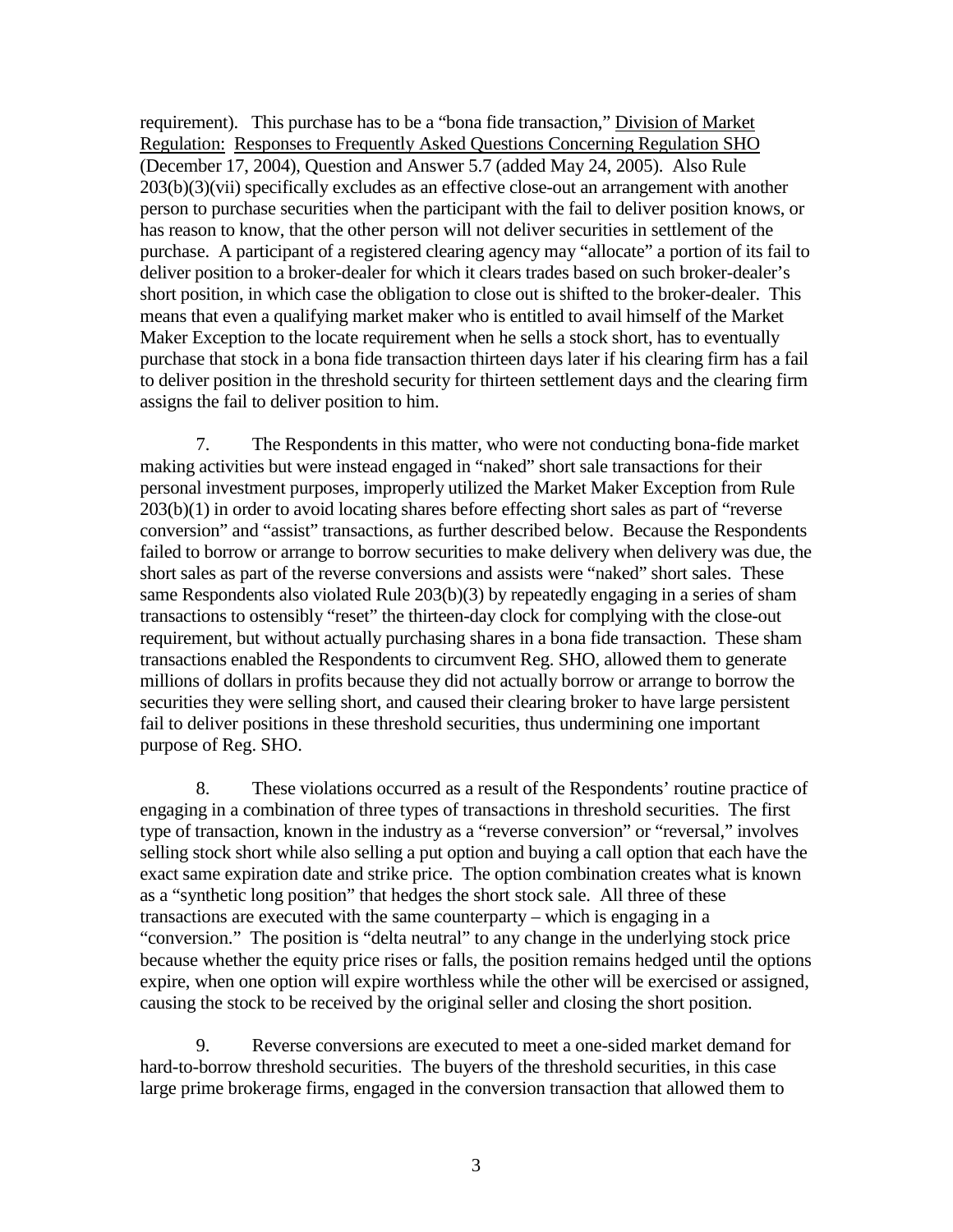requirement). This purchase has to be a "bona fide transaction," Division of Market Regulation: Responses to Frequently Asked Questions Concerning Regulation SHO (December 17, 2004), Question and Answer 5.7 (added May 24, 2005). Also Rule 203(b)(3)(vii) specifically excludes as an effective close-out an arrangement with another person to purchase securities when the participant with the fail to deliver position knows, or has reason to know, that the other person will not deliver securities in settlement of the purchase. A participant of a registered clearing agency may "allocate" a portion of its fail to deliver position to a broker-dealer for which it clears trades based on such broker-dealer's short position, in which case the obligation to close out is shifted to the broker-dealer. This means that even a qualifying market maker who is entitled to avail himself of the Market Maker Exception to the locate requirement when he sells a stock short, has to eventually purchase that stock in a bona fide transaction thirteen days later if his clearing firm has a fail to deliver position in the threshold security for thirteen settlement days and the clearing firm assigns the fail to deliver position to him.

7. The Respondents in this matter, who were not conducting bona-fide market making activities but were instead engaged in "naked" short sale transactions for their personal investment purposes, improperly utilized the Market Maker Exception from Rule 203(b)(1) in order to avoid locating shares before effecting short sales as part of "reverse conversion" and "assist" transactions, as further described below. Because the Respondents failed to borrow or arrange to borrow securities to make delivery when delivery was due, the short sales as part of the reverse conversions and assists were "naked" short sales. These same Respondents also violated Rule 203(b)(3) by repeatedly engaging in a series of sham transactions to ostensibly "reset" the thirteen-day clock for complying with the close-out requirement, but without actually purchasing shares in a bona fide transaction. These sham transactions enabled the Respondents to circumvent Reg. SHO, allowed them to generate millions of dollars in profits because they did not actually borrow or arrange to borrow the securities they were selling short, and caused their clearing broker to have large persistent fail to deliver positions in these threshold securities, thus undermining one important purpose of Reg. SHO.

8. These violations occurred as a result of the Respondents' routine practice of engaging in a combination of three types of transactions in threshold securities. The first type of transaction, known in the industry as a "reverse conversion" or "reversal," involves selling stock short while also selling a put option and buying a call option that each have the exact same expiration date and strike price. The option combination creates what is known as a "synthetic long position" that hedges the short stock sale. All three of these transactions are executed with the same counterparty – which is engaging in a "conversion." The position is "delta neutral" to any change in the underlying stock price because whether the equity price rises or falls, the position remains hedged until the options expire, when one option will expire worthless while the other will be exercised or assigned, causing the stock to be received by the original seller and closing the short position.

9. Reverse conversions are executed to meet a one-sided market demand for hard-to-borrow threshold securities. The buyers of the threshold securities, in this case large prime brokerage firms, engaged in the conversion transaction that allowed them to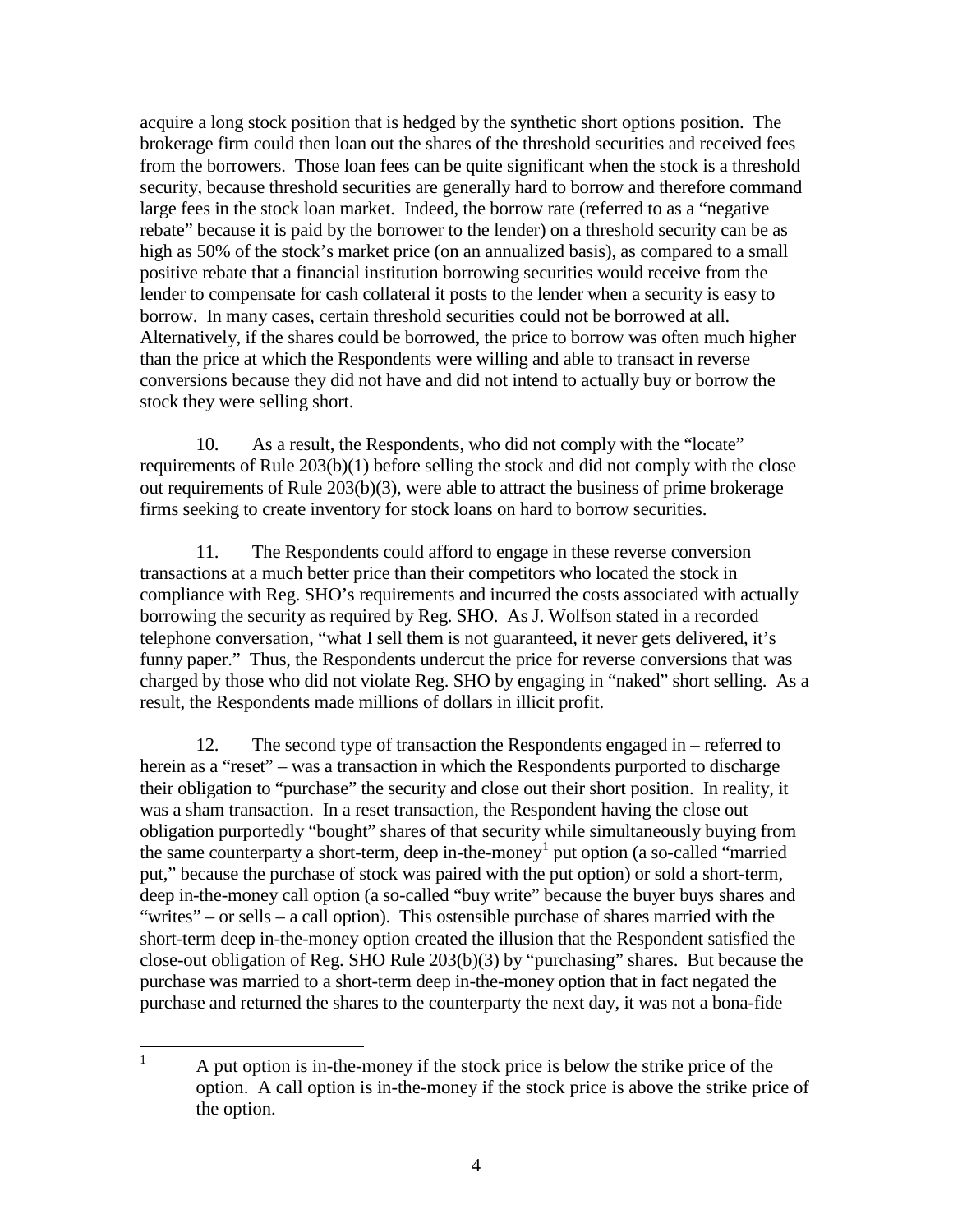acquire a long stock position that is hedged by the synthetic short options position. The brokerage firm could then loan out the shares of the threshold securities and received fees from the borrowers. Those loan fees can be quite significant when the stock is a threshold security, because threshold securities are generally hard to borrow and therefore command large fees in the stock loan market. Indeed, the borrow rate (referred to as a "negative rebate" because it is paid by the borrower to the lender) on a threshold security can be as high as 50% of the stock's market price (on an annualized basis), as compared to a small positive rebate that a financial institution borrowing securities would receive from the lender to compensate for cash collateral it posts to the lender when a security is easy to borrow. In many cases, certain threshold securities could not be borrowed at all. Alternatively, if the shares could be borrowed, the price to borrow was often much higher than the price at which the Respondents were willing and able to transact in reverse conversions because they did not have and did not intend to actually buy or borrow the stock they were selling short.

10. As a result, the Respondents, who did not comply with the "locate" requirements of Rule 203(b)(1) before selling the stock and did not comply with the close out requirements of Rule 203(b)(3), were able to attract the business of prime brokerage firms seeking to create inventory for stock loans on hard to borrow securities.

11. The Respondents could afford to engage in these reverse conversion transactions at a much better price than their competitors who located the stock in compliance with Reg. SHO's requirements and incurred the costs associated with actually borrowing the security as required by Reg. SHO. As J. Wolfson stated in a recorded telephone conversation, "what I sell them is not guaranteed, it never gets delivered, it's funny paper." Thus, the Respondents undercut the price for reverse conversions that was charged by those who did not violate Reg. SHO by engaging in "naked" short selling. As a result, the Respondents made millions of dollars in illicit profit.

12. The second type of transaction the Respondents engaged in – referred to herein as a "reset" – was a transaction in which the Respondents purported to discharge their obligation to "purchase" the security and close out their short position. In reality, it was a sham transaction. In a reset transaction, the Respondent having the close out obligation purportedly "bought" shares of that security while simultaneously buying from the same counterparty a short-term, deep in-the-money [1](#page-3-0) put option (a so-called "married put," because the purchase of stock was paired with the put option) or sold a short-term, deep in-the-money call option (a so-called "buy write" because the buyer buys shares and "writes" – or sells – a call option). This ostensible purchase of shares married with the short-term deep in-the-money option created the illusion that the Respondent satisfied the close-out obligation of Reg. SHO Rule 203(b)(3) by "purchasing" shares. But because the purchase was married to a short-term deep in-the-money option that in fact negated the purchase and returned the shares to the counterparty the next day, it was not a bona-fide

<span id="page-3-0"></span> $\frac{1}{1}$  A put option is in-the-money if the stock price is below the strike price of the option. A call option is in-the-money if the stock price is above the strike price of the option.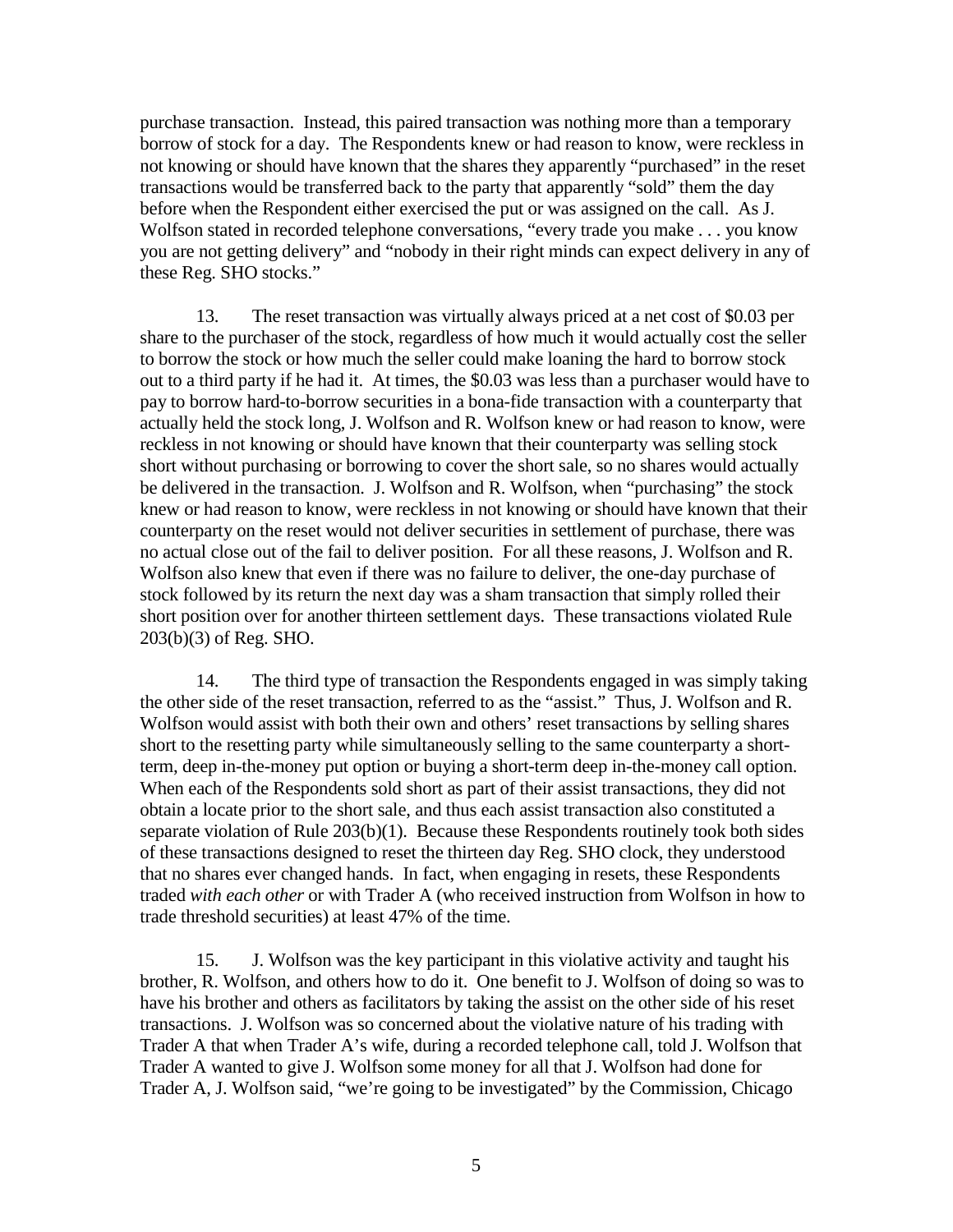purchase transaction. Instead, this paired transaction was nothing more than a temporary borrow of stock for a day. The Respondents knew or had reason to know, were reckless in not knowing or should have known that the shares they apparently "purchased" in the reset transactions would be transferred back to the party that apparently "sold" them the day before when the Respondent either exercised the put or was assigned on the call. As J. Wolfson stated in recorded telephone conversations, "every trade you make . . . you know you are not getting delivery" and "nobody in their right minds can expect delivery in any of these Reg. SHO stocks."

13. The reset transaction was virtually always priced at a net cost of \$0.03 per share to the purchaser of the stock, regardless of how much it would actually cost the seller to borrow the stock or how much the seller could make loaning the hard to borrow stock out to a third party if he had it. At times, the \$0.03 was less than a purchaser would have to pay to borrow hard-to-borrow securities in a bona-fide transaction with a counterparty that actually held the stock long, J. Wolfson and R. Wolfson knew or had reason to know, were reckless in not knowing or should have known that their counterparty was selling stock short without purchasing or borrowing to cover the short sale, so no shares would actually be delivered in the transaction. J. Wolfson and R. Wolfson, when "purchasing" the stock knew or had reason to know, were reckless in not knowing or should have known that their counterparty on the reset would not deliver securities in settlement of purchase, there was no actual close out of the fail to deliver position. For all these reasons, J. Wolfson and R. Wolfson also knew that even if there was no failure to deliver, the one-day purchase of stock followed by its return the next day was a sham transaction that simply rolled their short position over for another thirteen settlement days. These transactions violated Rule 203(b)(3) of Reg. SHO.

14. The third type of transaction the Respondents engaged in was simply taking the other side of the reset transaction, referred to as the "assist." Thus, J. Wolfson and R. Wolfson would assist with both their own and others' reset transactions by selling shares short to the resetting party while simultaneously selling to the same counterparty a shortterm, deep in-the-money put option or buying a short-term deep in-the-money call option. When each of the Respondents sold short as part of their assist transactions, they did not obtain a locate prior to the short sale, and thus each assist transaction also constituted a separate violation of Rule 203(b)(1). Because these Respondents routinely took both sides of these transactions designed to reset the thirteen day Reg. SHO clock, they understood that no shares ever changed hands. In fact, when engaging in resets, these Respondents traded *with each other* or with Trader A (who received instruction from Wolfson in how to trade threshold securities) at least 47% of the time.

15. J. Wolfson was the key participant in this violative activity and taught his brother, R. Wolfson, and others how to do it. One benefit to J. Wolfson of doing so was to have his brother and others as facilitators by taking the assist on the other side of his reset transactions. J. Wolfson was so concerned about the violative nature of his trading with Trader A that when Trader A's wife, during a recorded telephone call, told J. Wolfson that Trader A wanted to give J. Wolfson some money for all that J. Wolfson had done for Trader A, J. Wolfson said, "we're going to be investigated" by the Commission, Chicago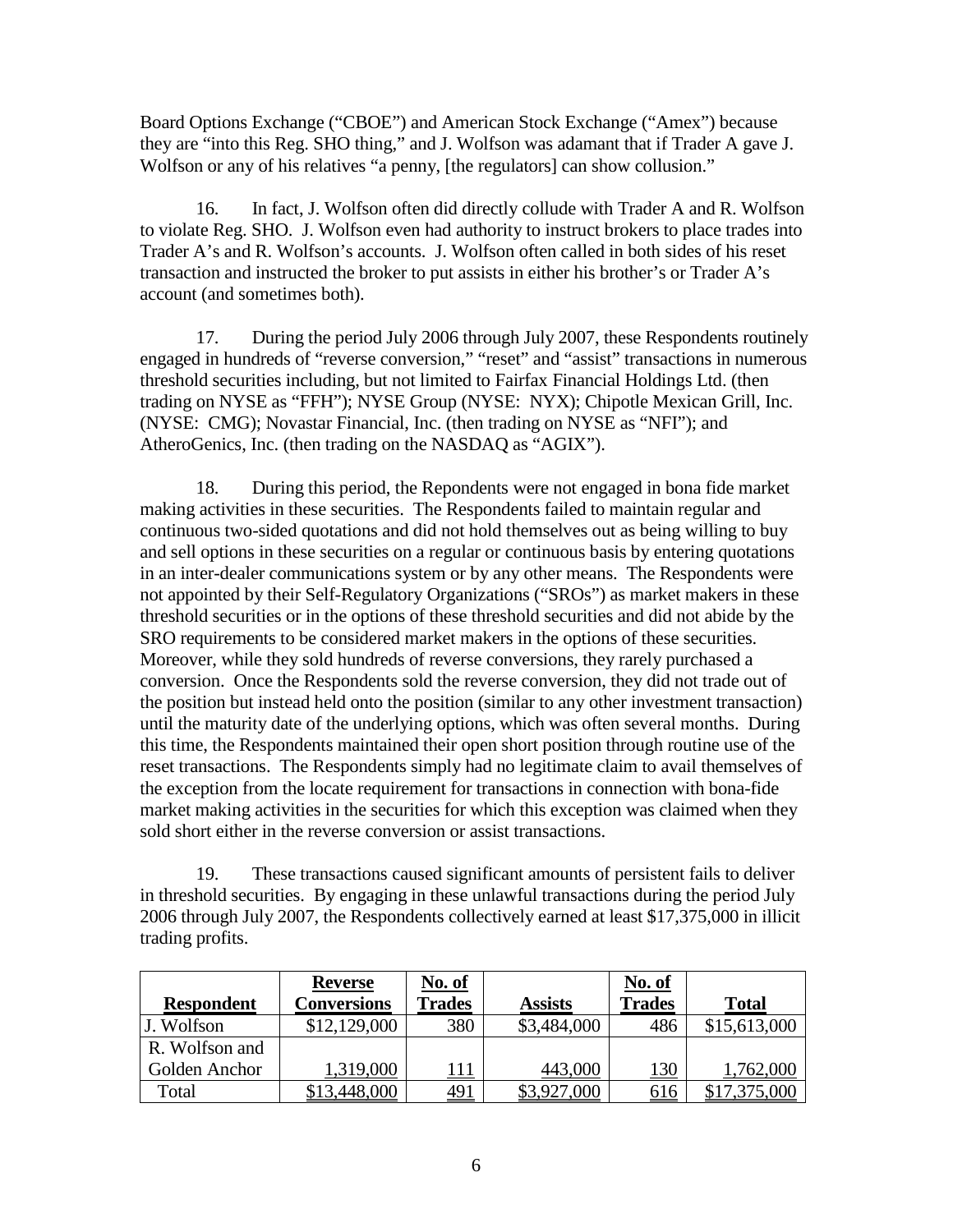Board Options Exchange ("CBOE") and American Stock Exchange ("Amex") because they are "into this Reg. SHO thing," and J. Wolfson was adamant that if Trader A gave J. Wolfson or any of his relatives "a penny, [the regulators] can show collusion."

16. In fact, J. Wolfson often did directly collude with Trader A and R. Wolfson to violate Reg. SHO. J. Wolfson even had authority to instruct brokers to place trades into Trader A's and R. Wolfson's accounts. J. Wolfson often called in both sides of his reset transaction and instructed the broker to put assists in either his brother's or Trader A's account (and sometimes both).

17. During the period July 2006 through July 2007, these Respondents routinely engaged in hundreds of "reverse conversion," "reset" and "assist" transactions in numerous threshold securities including, but not limited to Fairfax Financial Holdings Ltd. (then trading on NYSE as "FFH"); NYSE Group (NYSE: NYX); Chipotle Mexican Grill, Inc. (NYSE: CMG); Novastar Financial, Inc. (then trading on NYSE as "NFI"); and AtheroGenics, Inc. (then trading on the NASDAQ as "AGIX").

18. During this period, the Repondents were not engaged in bona fide market making activities in these securities. The Respondents failed to maintain regular and continuous two-sided quotations and did not hold themselves out as being willing to buy and sell options in these securities on a regular or continuous basis by entering quotations in an inter-dealer communications system or by any other means. The Respondents were not appointed by their Self-Regulatory Organizations ("SROs") as market makers in these threshold securities or in the options of these threshold securities and did not abide by the SRO requirements to be considered market makers in the options of these securities. Moreover, while they sold hundreds of reverse conversions, they rarely purchased a conversion. Once the Respondents sold the reverse conversion, they did not trade out of the position but instead held onto the position (similar to any other investment transaction) until the maturity date of the underlying options, which was often several months. During this time, the Respondents maintained their open short position through routine use of the reset transactions. The Respondents simply had no legitimate claim to avail themselves of the exception from the locate requirement for transactions in connection with bona-fide market making activities in the securities for which this exception was claimed when they sold short either in the reverse conversion or assist transactions.

19. These transactions caused significant amounts of persistent fails to deliver in threshold securities. By engaging in these unlawful transactions during the period July 2006 through July 2007, the Respondents collectively earned at least \$17,375,000 in illicit trading profits.

|                   | <b>Reverse</b> | <u>No. of</u> |                | No. of        |              |
|-------------------|----------------|---------------|----------------|---------------|--------------|
| <b>Respondent</b> | Conversions    | <b>Trades</b> | <b>Assists</b> | <b>Trades</b> | <b>Total</b> |
| J. Wolfson        | \$12,129,000   | 380           | \$3,484,000    | 486           | \$15,613,000 |
| R. Wolfson and    |                |               |                |               |              |
| Golden Anchor     | 1,319,000      | <u>  11</u>   | 443,000        | 130           | 1,762,000    |
| Total             | 3,448,000      | <u>491</u>    | .000           | <u> 616</u>   |              |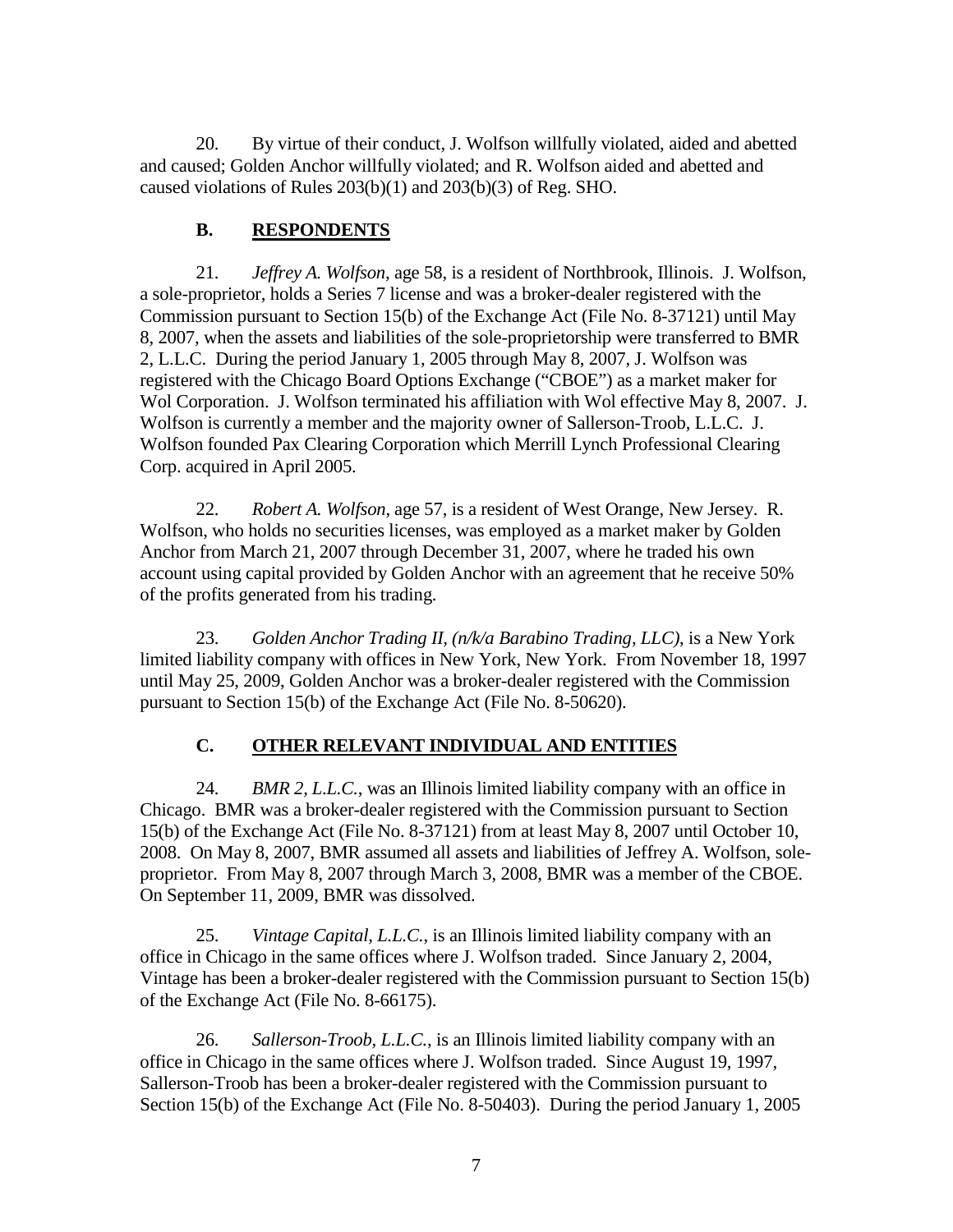20. By virtue of their conduct, J. Wolfson willfully violated, aided and abetted and caused; Golden Anchor willfully violated; and R. Wolfson aided and abetted and caused violations of Rules 203(b)(1) and 203(b)(3) of Reg. SHO.

# **B. RESPONDENTS**

21. *Jeffrey A. Wolfson*, age 58, is a resident of Northbrook, Illinois. J. Wolfson, a sole-proprietor, holds a Series 7 license and was a broker-dealer registered with the Commission pursuant to Section 15(b) of the Exchange Act (File No. 8-37121) until May 8, 2007, when the assets and liabilities of the sole-proprietorship were transferred to BMR 2, L.L.C. During the period January 1, 2005 through May 8, 2007, J. Wolfson was registered with the Chicago Board Options Exchange ("CBOE") as a market maker for Wol Corporation. J. Wolfson terminated his affiliation with Wol effective May 8, 2007. J. Wolfson is currently a member and the majority owner of Sallerson-Troob, L.L.C. J. Wolfson founded Pax Clearing Corporation which Merrill Lynch Professional Clearing Corp. acquired in April 2005.

22. *Robert A. Wolfson*, age 57, is a resident of West Orange, New Jersey. R. Wolfson, who holds no securities licenses, was employed as a market maker by Golden Anchor from March 21, 2007 through December 31, 2007, where he traded his own account using capital provided by Golden Anchor with an agreement that he receive 50% of the profits generated from his trading.

23. *Golden Anchor Trading II, (n/k/a Barabino Trading, LLC)*, is a New York limited liability company with offices in New York, New York. From November 18, 1997 until May 25, 2009, Golden Anchor was a broker-dealer registered with the Commission pursuant to Section 15(b) of the Exchange Act (File No. 8-50620).

# **C. OTHER RELEVANT INDIVIDUAL AND ENTITIES**

24. *BMR 2, L.L.C.*, was an Illinois limited liability company with an office in Chicago. BMR was a broker-dealer registered with the Commission pursuant to Section 15(b) of the Exchange Act (File No. 8-37121) from at least May 8, 2007 until October 10, 2008. On May 8, 2007, BMR assumed all assets and liabilities of Jeffrey A. Wolfson, soleproprietor. From May 8, 2007 through March 3, 2008, BMR was a member of the CBOE. On September 11, 2009, BMR was dissolved.

25. *Vintage Capital, L.L.C.*, is an Illinois limited liability company with an office in Chicago in the same offices where J. Wolfson traded. Since January 2, 2004, Vintage has been a broker-dealer registered with the Commission pursuant to Section 15(b) of the Exchange Act (File No. 8-66175).

26. *Sallerson-Troob, L.L.C.*, is an Illinois limited liability company with an office in Chicago in the same offices where J. Wolfson traded. Since August 19, 1997, Sallerson-Troob has been a broker-dealer registered with the Commission pursuant to Section 15(b) of the Exchange Act (File No. 8-50403). During the period January 1, 2005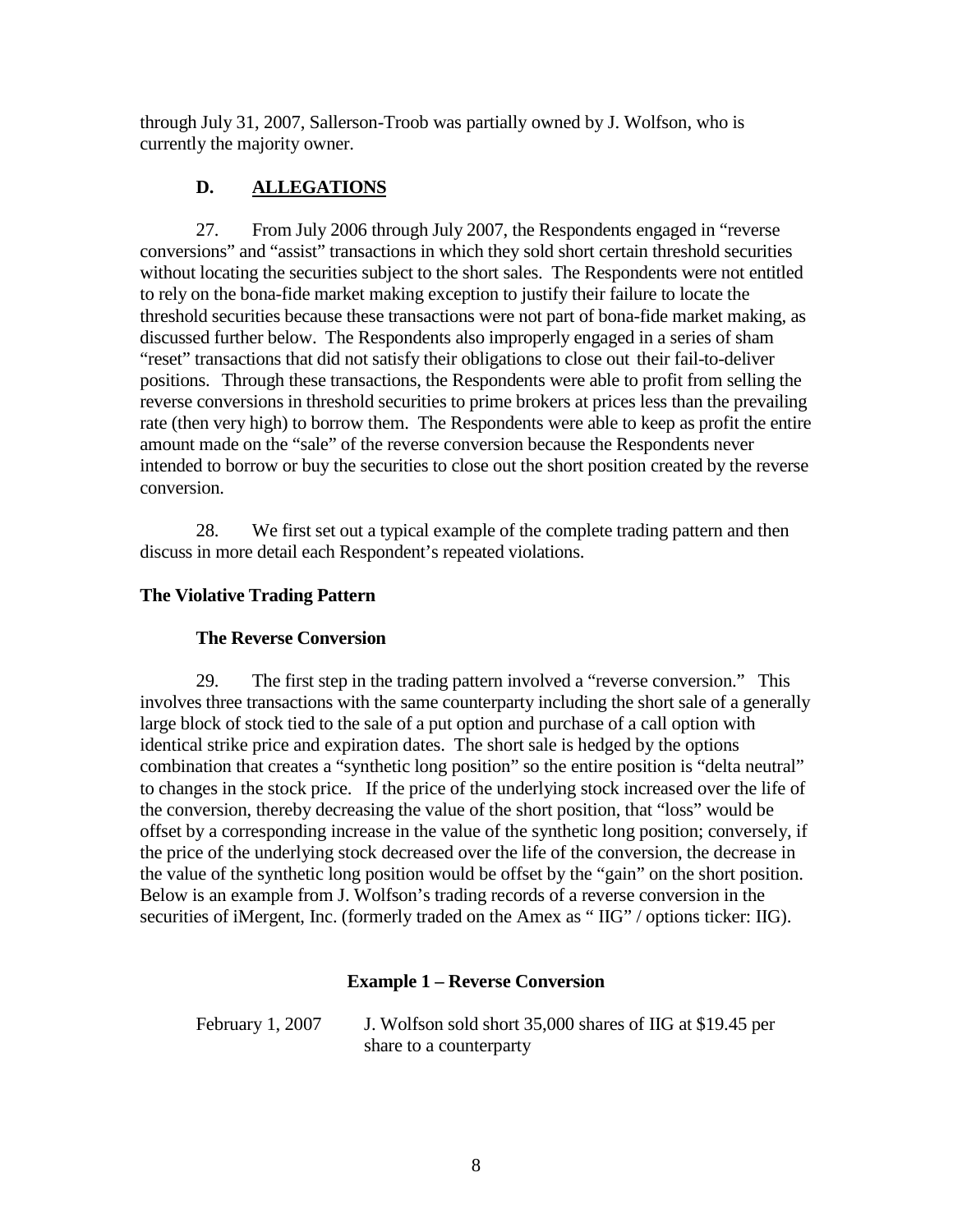through July 31, 2007, Sallerson-Troob was partially owned by J. Wolfson, who is currently the majority owner.

# **D. ALLEGATIONS**

27. From July 2006 through July 2007, the Respondents engaged in "reverse conversions" and "assist" transactions in which they sold short certain threshold securities without locating the securities subject to the short sales. The Respondents were not entitled to rely on the bona-fide market making exception to justify their failure to locate the threshold securities because these transactions were not part of bona-fide market making, as discussed further below. The Respondents also improperly engaged in a series of sham "reset" transactions that did not satisfy their obligations to close out their fail-to-deliver positions. Through these transactions, the Respondents were able to profit from selling the reverse conversions in threshold securities to prime brokers at prices less than the prevailing rate (then very high) to borrow them. The Respondents were able to keep as profit the entire amount made on the "sale" of the reverse conversion because the Respondents never intended to borrow or buy the securities to close out the short position created by the reverse conversion.

28. We first set out a typical example of the complete trading pattern and then discuss in more detail each Respondent's repeated violations.

# **The Violative Trading Pattern**

## **The Reverse Conversion**

29. The first step in the trading pattern involved a "reverse conversion." This involves three transactions with the same counterparty including the short sale of a generally large block of stock tied to the sale of a put option and purchase of a call option with identical strike price and expiration dates. The short sale is hedged by the options combination that creates a "synthetic long position" so the entire position is "delta neutral" to changes in the stock price. If the price of the underlying stock increased over the life of the conversion, thereby decreasing the value of the short position, that "loss" would be offset by a corresponding increase in the value of the synthetic long position; conversely, if the price of the underlying stock decreased over the life of the conversion, the decrease in the value of the synthetic long position would be offset by the "gain" on the short position. Below is an example from J. Wolfson's trading records of a reverse conversion in the securities of iMergent, Inc. (formerly traded on the Amex as "IIG" / options ticker: IIG).

## **Example 1 – Reverse Conversion**

February 1, 2007 J. Wolfson sold short 35,000 shares of IIG at \$19.45 per share to a counterparty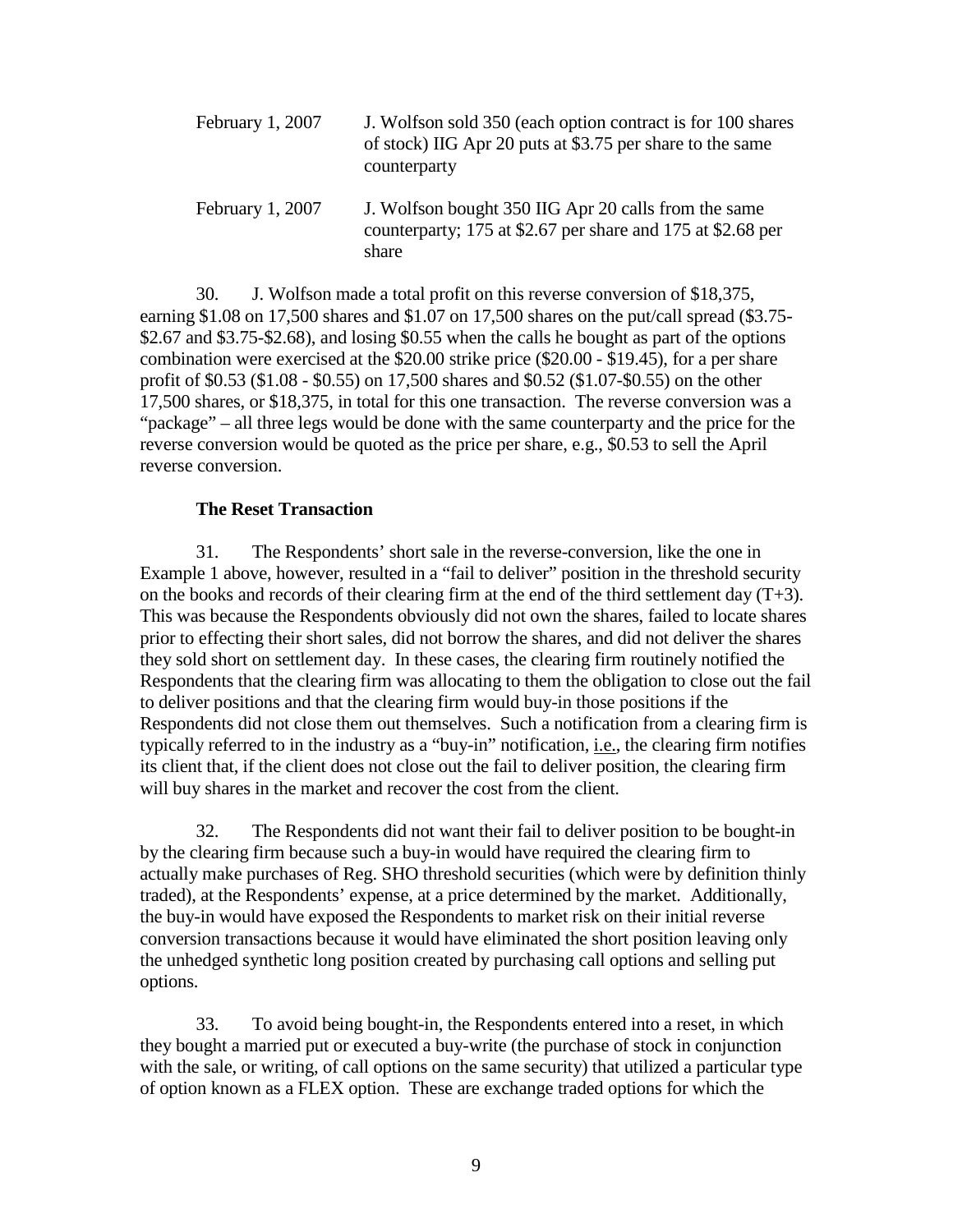| February 1, 2007 | J. Wolfson sold 350 (each option contract is for 100 shares<br>of stock) IIG Apr 20 puts at \$3.75 per share to the same<br>counterparty |
|------------------|------------------------------------------------------------------------------------------------------------------------------------------|
| February 1, 2007 | J. Wolfson bought 350 IIG Apr 20 calls from the same<br>counterparty; 175 at \$2.67 per share and 175 at \$2.68 per<br>share             |

30. J. Wolfson made a total profit on this reverse conversion of \$18,375, earning \$1.08 on 17,500 shares and \$1.07 on 17,500 shares on the put/call spread (\$3.75- \$2.67 and \$3.75-\$2.68), and losing \$0.55 when the calls he bought as part of the options combination were exercised at the \$20.00 strike price (\$20.00 - \$19.45), for a per share profit of \$0.53 (\$1.08 - \$0.55) on 17,500 shares and \$0.52 (\$1.07-\$0.55) on the other 17,500 shares, or \$18,375, in total for this one transaction. The reverse conversion was a "package" – all three legs would be done with the same counterparty and the price for the reverse conversion would be quoted as the price per share, e.g., \$0.53 to sell the April reverse conversion.

#### **The Reset Transaction**

31. The Respondents' short sale in the reverse-conversion, like the one in Example 1 above, however, resulted in a "fail to deliver" position in the threshold security on the books and records of their clearing firm at the end of the third settlement day  $(T+3)$ . This was because the Respondents obviously did not own the shares, failed to locate shares prior to effecting their short sales, did not borrow the shares, and did not deliver the shares they sold short on settlement day. In these cases, the clearing firm routinely notified the Respondents that the clearing firm was allocating to them the obligation to close out the fail to deliver positions and that the clearing firm would buy-in those positions if the Respondents did not close them out themselves. Such a notification from a clearing firm is typically referred to in the industry as a "buy-in" notification, i.e., the clearing firm notifies its client that, if the client does not close out the fail to deliver position, the clearing firm will buy shares in the market and recover the cost from the client.

32. The Respondents did not want their fail to deliver position to be bought-in by the clearing firm because such a buy-in would have required the clearing firm to actually make purchases of Reg. SHO threshold securities (which were by definition thinly traded), at the Respondents' expense, at a price determined by the market. Additionally, the buy-in would have exposed the Respondents to market risk on their initial reverse conversion transactions because it would have eliminated the short position leaving only the unhedged synthetic long position created by purchasing call options and selling put options.

33. To avoid being bought-in, the Respondents entered into a reset, in which they bought a married put or executed a buy-write (the purchase of stock in conjunction with the sale, or writing, of call options on the same security) that utilized a particular type of option known as a FLEX option. These are exchange traded options for which the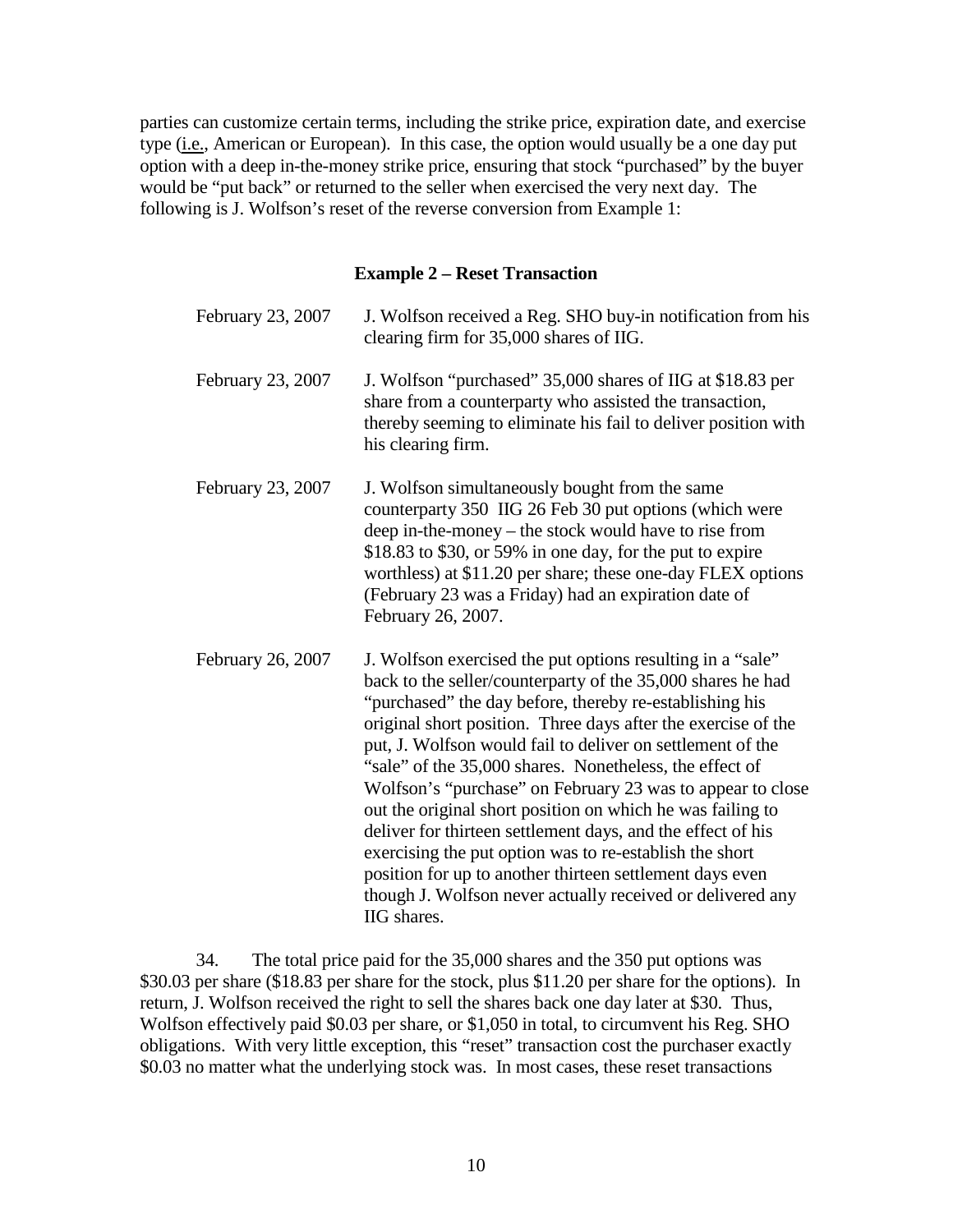parties can customize certain terms, including the strike price, expiration date, and exercise type  $(i.e., American or European)$ . In this case, the option would usually be a one day put option with a deep in-the-money strike price, ensuring that stock "purchased" by the buyer would be "put back" or returned to the seller when exercised the very next day. The following is J. Wolfson's reset of the reverse conversion from Example 1:

### **Example 2 – Reset Transaction**

| February 23, 2007 | J. Wolfson received a Reg. SHO buy-in notification from his<br>clearing firm for 35,000 shares of IIG.                                                                                                                                                                                                                                                                                                                                                                                                                                                                                                                                                                                                                                                                        |
|-------------------|-------------------------------------------------------------------------------------------------------------------------------------------------------------------------------------------------------------------------------------------------------------------------------------------------------------------------------------------------------------------------------------------------------------------------------------------------------------------------------------------------------------------------------------------------------------------------------------------------------------------------------------------------------------------------------------------------------------------------------------------------------------------------------|
| February 23, 2007 | J. Wolfson "purchased" 35,000 shares of IIG at \$18.83 per<br>share from a counterparty who assisted the transaction,<br>thereby seeming to eliminate his fail to deliver position with<br>his clearing firm.                                                                                                                                                                                                                                                                                                                                                                                                                                                                                                                                                                 |
| February 23, 2007 | J. Wolfson simultaneously bought from the same<br>counterparty 350 IIG 26 Feb 30 put options (which were<br>deep in-the-money – the stock would have to rise from<br>\$18.83 to \$30, or 59% in one day, for the put to expire<br>worthless) at \$11.20 per share; these one-day FLEX options<br>(February 23 was a Friday) had an expiration date of<br>February 26, 2007.                                                                                                                                                                                                                                                                                                                                                                                                   |
| February 26, 2007 | J. Wolfson exercised the put options resulting in a "sale"<br>back to the seller/counterparty of the 35,000 shares he had<br>"purchased" the day before, thereby re-establishing his<br>original short position. Three days after the exercise of the<br>put, J. Wolfson would fail to deliver on settlement of the<br>"sale" of the 35,000 shares. Nonetheless, the effect of<br>Wolfson's "purchase" on February 23 was to appear to close<br>out the original short position on which he was failing to<br>deliver for thirteen settlement days, and the effect of his<br>exercising the put option was to re-establish the short<br>position for up to another thirteen settlement days even<br>though J. Wolfson never actually received or delivered any<br>IIG shares. |

34. The total price paid for the 35,000 shares and the 350 put options was \$30.03 per share (\$18.83 per share for the stock, plus \$11.20 per share for the options). In return, J. Wolfson received the right to sell the shares back one day later at \$30. Thus, Wolfson effectively paid \$0.03 per share, or \$1,050 in total, to circumvent his Reg. SHO obligations. With very little exception, this "reset" transaction cost the purchaser exactly \$0.03 no matter what the underlying stock was. In most cases, these reset transactions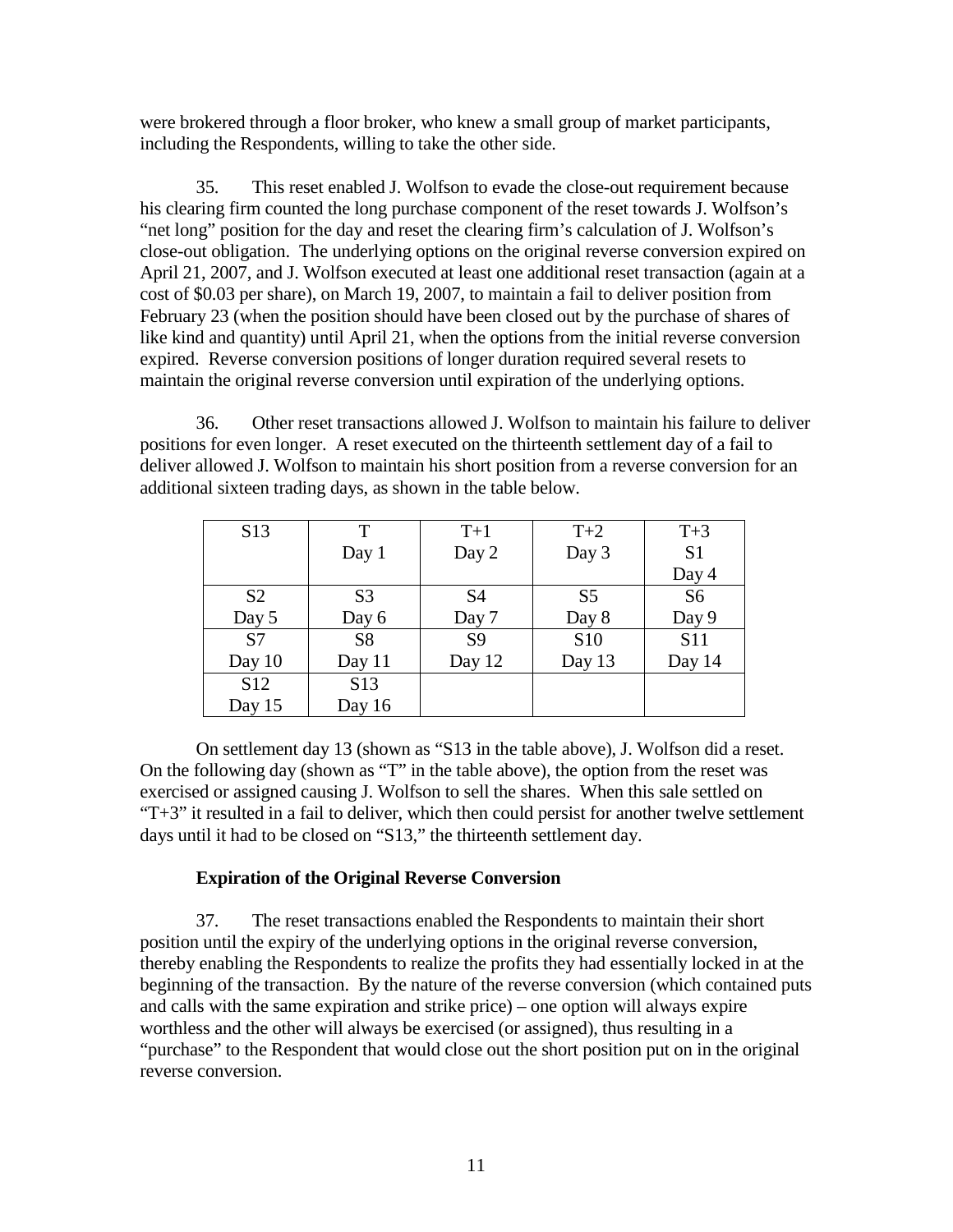were brokered through a floor broker, who knew a small group of market participants, including the Respondents, willing to take the other side.

35. This reset enabled J. Wolfson to evade the close-out requirement because his clearing firm counted the long purchase component of the reset towards J. Wolfson's "net long" position for the day and reset the clearing firm's calculation of J. Wolfson's close-out obligation. The underlying options on the original reverse conversion expired on April 21, 2007, and J. Wolfson executed at least one additional reset transaction (again at a cost of \$0.03 per share), on March 19, 2007, to maintain a fail to deliver position from February 23 (when the position should have been closed out by the purchase of shares of like kind and quantity) until April 21, when the options from the initial reverse conversion expired. Reverse conversion positions of longer duration required several resets to maintain the original reverse conversion until expiration of the underlying options.

36. Other reset transactions allowed J. Wolfson to maintain his failure to deliver positions for even longer. A reset executed on the thirteenth settlement day of a fail to deliver allowed J. Wolfson to maintain his short position from a reverse conversion for an additional sixteen trading days, as shown in the table below.

| S <sub>13</sub> | T               | $T+1$          | $T+2$           | $T+3$          |
|-----------------|-----------------|----------------|-----------------|----------------|
|                 | Day $1$         | Day 2          | Day 3           | S <sub>1</sub> |
|                 |                 |                |                 | Day 4          |
| S <sub>2</sub>  | S <sub>3</sub>  | S <sub>4</sub> | S <sub>5</sub>  | S <sub>6</sub> |
| Day 5           | Day 6           | Day 7          | Day 8           | Day 9          |
| S <sub>7</sub>  | S <sub>8</sub>  | S <sub>9</sub> | S <sub>10</sub> | <b>S11</b>     |
| Day 10          | Day 11          | Day 12         | Day 13          | Day 14         |
| S <sub>12</sub> | S <sub>13</sub> |                |                 |                |
| Day $15$        | Day 16          |                |                 |                |

On settlement day 13 (shown as "S13 in the table above), J. Wolfson did a reset. On the following day (shown as "T" in the table above), the option from the reset was exercised or assigned causing J. Wolfson to sell the shares. When this sale settled on "T+3" it resulted in a fail to deliver, which then could persist for another twelve settlement days until it had to be closed on "S13," the thirteenth settlement day.

#### **Expiration of the Original Reverse Conversion**

37. The reset transactions enabled the Respondents to maintain their short position until the expiry of the underlying options in the original reverse conversion, thereby enabling the Respondents to realize the profits they had essentially locked in at the beginning of the transaction. By the nature of the reverse conversion (which contained puts and calls with the same expiration and strike price) – one option will always expire worthless and the other will always be exercised (or assigned), thus resulting in a "purchase" to the Respondent that would close out the short position put on in the original reverse conversion.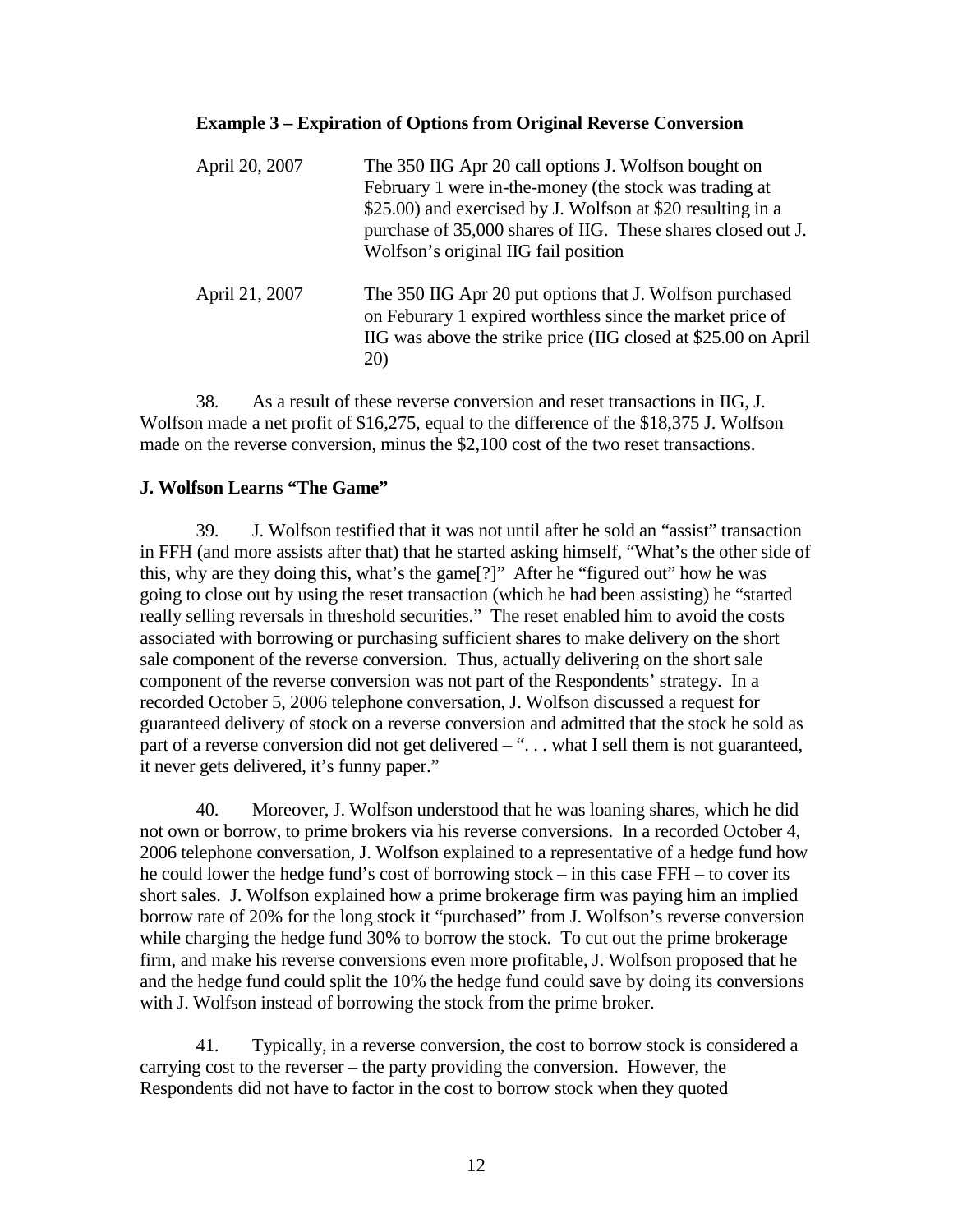#### **Example 3 – Expiration of Options from Original Reverse Conversion**

| April 20, 2007 | The 350 IIG Apr 20 call options J. Wolfson bought on<br>February 1 were in-the-money (the stock was trading at<br>\$25.00) and exercised by J. Wolfson at \$20 resulting in a<br>purchase of 35,000 shares of IIG. These shares closed out J.<br>Wolfson's original IIG fail position |
|----------------|---------------------------------------------------------------------------------------------------------------------------------------------------------------------------------------------------------------------------------------------------------------------------------------|
| April 21, 2007 | The 350 IIG Apr 20 put options that J. Wolfson purchased<br>on Feburary 1 expired worthless since the market price of<br>IIG was above the strike price (IIG closed at \$25.00 on April<br>20)                                                                                        |

38. As a result of these reverse conversion and reset transactions in IIG, J. Wolfson made a net profit of \$16,275, equal to the difference of the \$18,375 J. Wolfson made on the reverse conversion, minus the \$2,100 cost of the two reset transactions.

### **J. Wolfson Learns "The Game"**

39. J. Wolfson testified that it was not until after he sold an "assist" transaction in FFH (and more assists after that) that he started asking himself, "What's the other side of this, why are they doing this, what's the game[?]" After he "figured out" how he was going to close out by using the reset transaction (which he had been assisting) he "started really selling reversals in threshold securities." The reset enabled him to avoid the costs associated with borrowing or purchasing sufficient shares to make delivery on the short sale component of the reverse conversion. Thus, actually delivering on the short sale component of the reverse conversion was not part of the Respondents' strategy. In a recorded October 5, 2006 telephone conversation, J. Wolfson discussed a request for guaranteed delivery of stock on a reverse conversion and admitted that the stock he sold as part of a reverse conversion did not get delivered – "... what I sell them is not guaranteed, it never gets delivered, it's funny paper."

40. Moreover, J. Wolfson understood that he was loaning shares, which he did not own or borrow, to prime brokers via his reverse conversions. In a recorded October 4, 2006 telephone conversation, J. Wolfson explained to a representative of a hedge fund how he could lower the hedge fund's cost of borrowing stock – in this case FFH – to cover its short sales. J. Wolfson explained how a prime brokerage firm was paying him an implied borrow rate of 20% for the long stock it "purchased" from J. Wolfson's reverse conversion while charging the hedge fund 30% to borrow the stock. To cut out the prime brokerage firm, and make his reverse conversions even more profitable, J. Wolfson proposed that he and the hedge fund could split the 10% the hedge fund could save by doing its conversions with J. Wolfson instead of borrowing the stock from the prime broker.

41. Typically, in a reverse conversion, the cost to borrow stock is considered a carrying cost to the reverser – the party providing the conversion. However, the Respondents did not have to factor in the cost to borrow stock when they quoted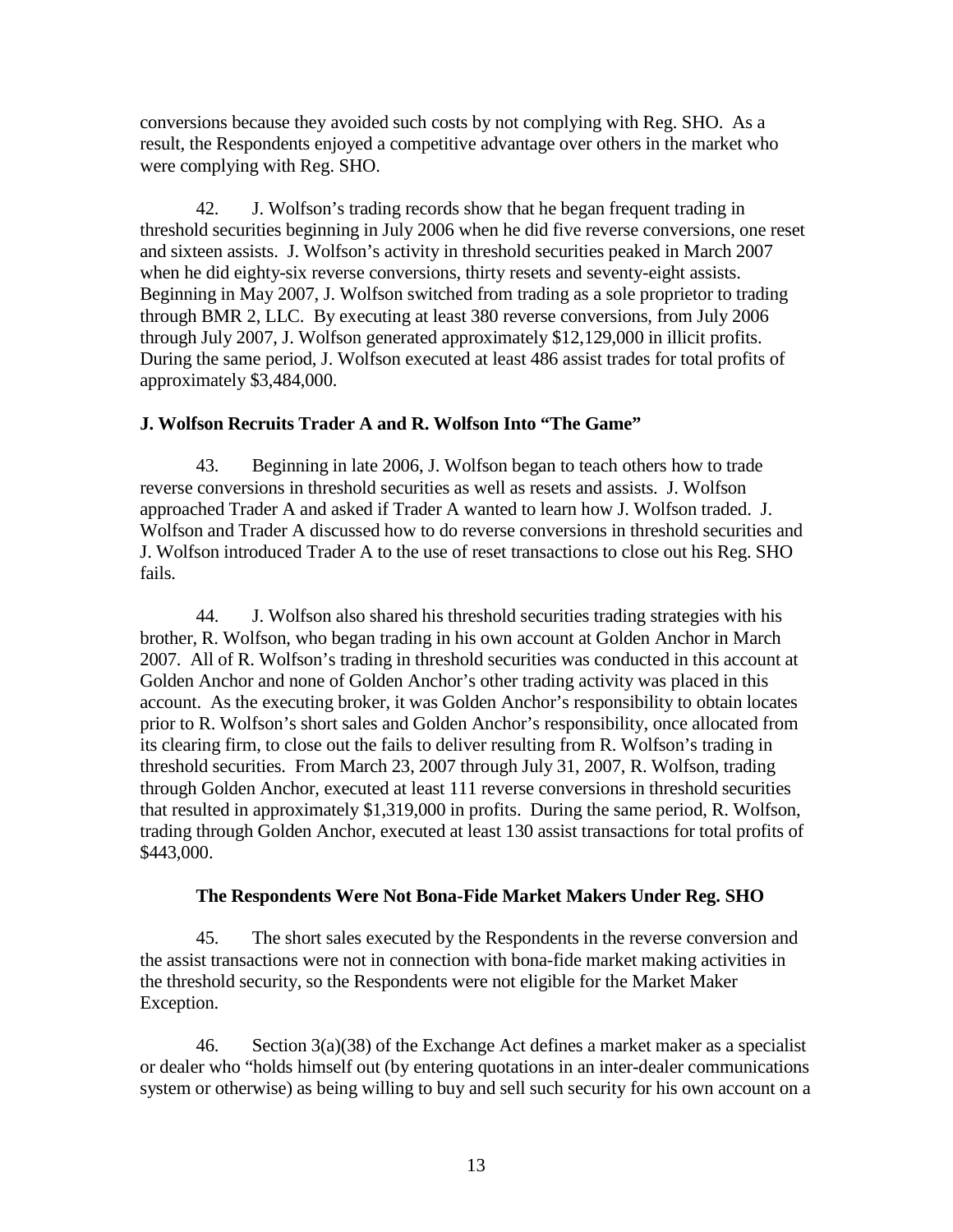conversions because they avoided such costs by not complying with Reg. SHO. As a result, the Respondents enjoyed a competitive advantage over others in the market who were complying with Reg. SHO.

42. J. Wolfson's trading records show that he began frequent trading in threshold securities beginning in July 2006 when he did five reverse conversions, one reset and sixteen assists. J. Wolfson's activity in threshold securities peaked in March 2007 when he did eighty-six reverse conversions, thirty resets and seventy-eight assists. Beginning in May 2007, J. Wolfson switched from trading as a sole proprietor to trading through BMR 2, LLC. By executing at least 380 reverse conversions, from July 2006 through July 2007, J. Wolfson generated approximately \$12,129,000 in illicit profits. During the same period, J. Wolfson executed at least 486 assist trades for total profits of approximately \$3,484,000.

#### **J. Wolfson Recruits Trader A and R. Wolfson Into "The Game"**

43. Beginning in late 2006, J. Wolfson began to teach others how to trade reverse conversions in threshold securities as well as resets and assists. J. Wolfson approached Trader A and asked if Trader A wanted to learn how J. Wolfson traded. J. Wolfson and Trader A discussed how to do reverse conversions in threshold securities and J. Wolfson introduced Trader A to the use of reset transactions to close out his Reg. SHO fails.

44. J. Wolfson also shared his threshold securities trading strategies with his brother, R. Wolfson, who began trading in his own account at Golden Anchor in March 2007. All of R. Wolfson's trading in threshold securities was conducted in this account at Golden Anchor and none of Golden Anchor's other trading activity was placed in this account. As the executing broker, it was Golden Anchor's responsibility to obtain locates prior to R. Wolfson's short sales and Golden Anchor's responsibility, once allocated from its clearing firm, to close out the fails to deliver resulting from R. Wolfson's trading in threshold securities. From March 23, 2007 through July 31, 2007, R. Wolfson, trading through Golden Anchor, executed at least 111 reverse conversions in threshold securities that resulted in approximately \$1,319,000 in profits. During the same period, R. Wolfson, trading through Golden Anchor, executed at least 130 assist transactions for total profits of \$443,000.

#### **The Respondents Were Not Bona-Fide Market Makers Under Reg. SHO**

45. The short sales executed by the Respondents in the reverse conversion and the assist transactions were not in connection with bona-fide market making activities in the threshold security, so the Respondents were not eligible for the Market Maker Exception.

46. Section  $3(a)(38)$  of the Exchange Act defines a market maker as a specialist or dealer who "holds himself out (by entering quotations in an inter-dealer communications system or otherwise) as being willing to buy and sell such security for his own account on a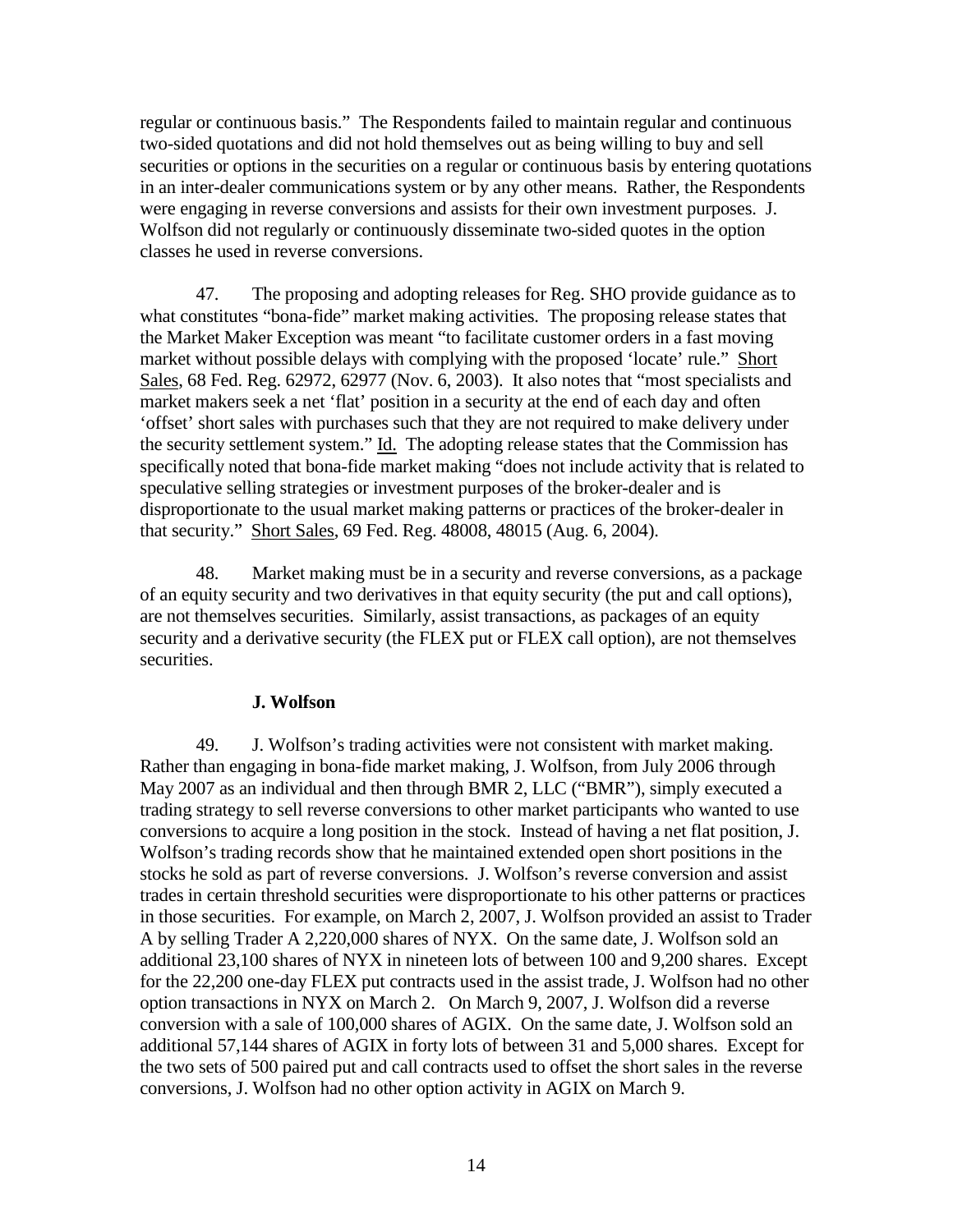regular or continuous basis." The Respondents failed to maintain regular and continuous two-sided quotations and did not hold themselves out as being willing to buy and sell securities or options in the securities on a regular or continuous basis by entering quotations in an inter-dealer communications system or by any other means. Rather, the Respondents were engaging in reverse conversions and assists for their own investment purposes. J. Wolfson did not regularly or continuously disseminate two-sided quotes in the option classes he used in reverse conversions.

47. The proposing and adopting releases for Reg. SHO provide guidance as to what constitutes "bona-fide" market making activities. The proposing release states that the Market Maker Exception was meant "to facilitate customer orders in a fast moving market without possible delays with complying with the proposed 'locate' rule." Short Sales, 68 Fed. Reg. 62972, 62977 (Nov. 6, 2003). It also notes that "most specialists and market makers seek a net 'flat' position in a security at the end of each day and often 'offset' short sales with purchases such that they are not required to make delivery under the security settlement system." Id. The adopting release states that the Commission has specifically noted that bona-fide market making "does not include activity that is related to speculative selling strategies or investment purposes of the broker-dealer and is disproportionate to the usual market making patterns or practices of the broker-dealer in that security." Short Sales, 69 Fed. Reg. 48008, 48015 (Aug. 6, 2004).

48. Market making must be in a security and reverse conversions, as a package of an equity security and two derivatives in that equity security (the put and call options), are not themselves securities. Similarly, assist transactions, as packages of an equity security and a derivative security (the FLEX put or FLEX call option), are not themselves securities.

### **J. Wolfson**

49. J. Wolfson's trading activities were not consistent with market making. Rather than engaging in bona-fide market making, J. Wolfson, from July 2006 through May 2007 as an individual and then through BMR 2, LLC ("BMR"), simply executed a trading strategy to sell reverse conversions to other market participants who wanted to use conversions to acquire a long position in the stock. Instead of having a net flat position, J. Wolfson's trading records show that he maintained extended open short positions in the stocks he sold as part of reverse conversions. J. Wolfson's reverse conversion and assist trades in certain threshold securities were disproportionate to his other patterns or practices in those securities. For example, on March 2, 2007, J. Wolfson provided an assist to Trader A by selling Trader A 2,220,000 shares of NYX. On the same date, J. Wolfson sold an additional 23,100 shares of NYX in nineteen lots of between 100 and 9,200 shares. Except for the 22,200 one-day FLEX put contracts used in the assist trade, J. Wolfson had no other option transactions in NYX on March 2. On March 9, 2007, J. Wolfson did a reverse conversion with a sale of 100,000 shares of AGIX. On the same date, J. Wolfson sold an additional 57,144 shares of AGIX in forty lots of between 31 and 5,000 shares. Except for the two sets of 500 paired put and call contracts used to offset the short sales in the reverse conversions, J. Wolfson had no other option activity in AGIX on March 9.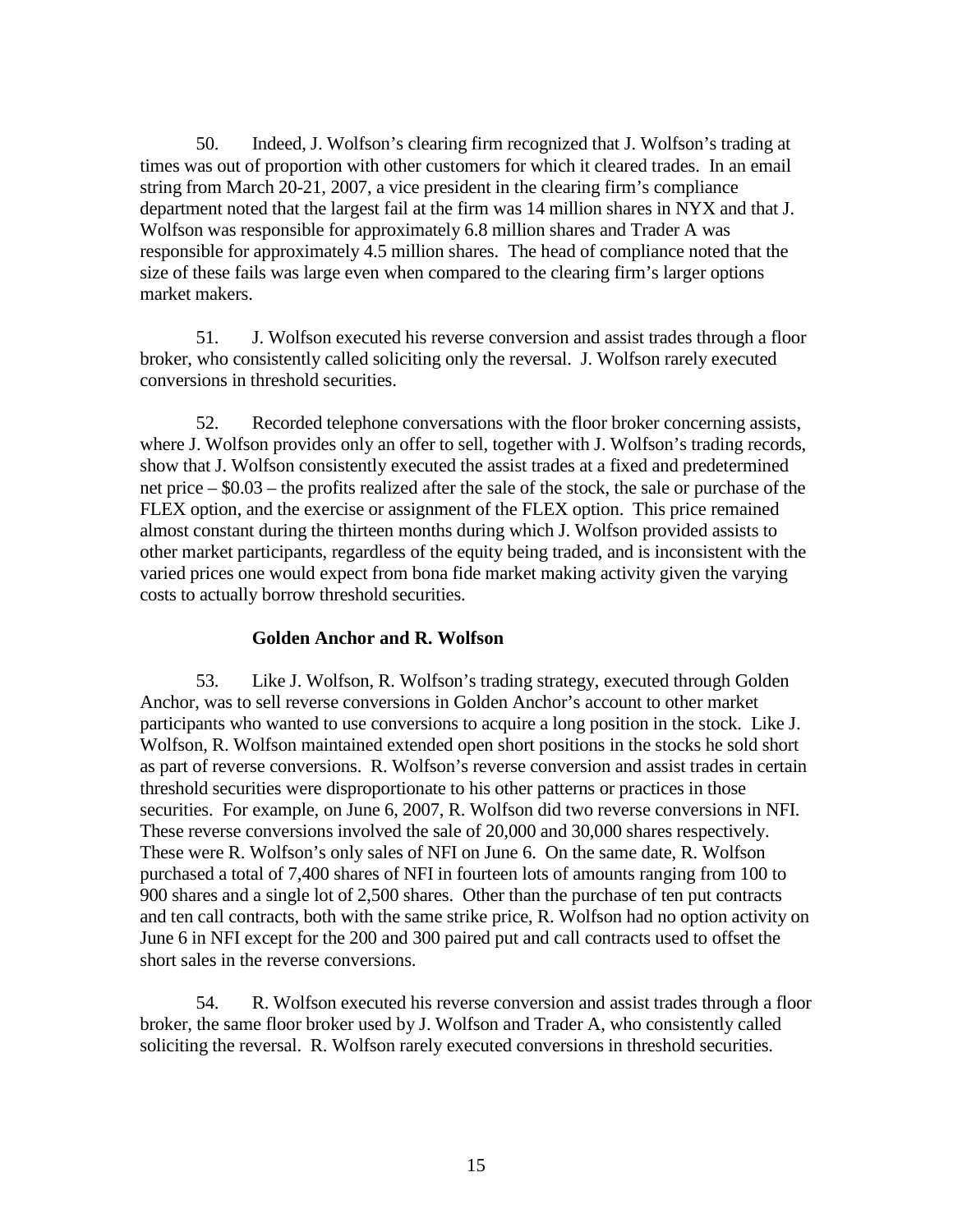50. Indeed, J. Wolfson's clearing firm recognized that J. Wolfson's trading at times was out of proportion with other customers for which it cleared trades. In an email string from March 20-21, 2007, a vice president in the clearing firm's compliance department noted that the largest fail at the firm was 14 million shares in NYX and that J. Wolfson was responsible for approximately 6.8 million shares and Trader A was responsible for approximately 4.5 million shares. The head of compliance noted that the size of these fails was large even when compared to the clearing firm's larger options market makers.

51. J. Wolfson executed his reverse conversion and assist trades through a floor broker, who consistently called soliciting only the reversal. J. Wolfson rarely executed conversions in threshold securities.

52. Recorded telephone conversations with the floor broker concerning assists, where J. Wolfson provides only an offer to sell, together with J. Wolfson's trading records, show that J. Wolfson consistently executed the assist trades at a fixed and predetermined net price – \$0.03 – the profits realized after the sale of the stock, the sale or purchase of the FLEX option, and the exercise or assignment of the FLEX option. This price remained almost constant during the thirteen months during which J. Wolfson provided assists to other market participants, regardless of the equity being traded, and is inconsistent with the varied prices one would expect from bona fide market making activity given the varying costs to actually borrow threshold securities.

### **Golden Anchor and R. Wolfson**

53. Like J. Wolfson, R. Wolfson's trading strategy, executed through Golden Anchor, was to sell reverse conversions in Golden Anchor's account to other market participants who wanted to use conversions to acquire a long position in the stock. Like J. Wolfson, R. Wolfson maintained extended open short positions in the stocks he sold short as part of reverse conversions. R. Wolfson's reverse conversion and assist trades in certain threshold securities were disproportionate to his other patterns or practices in those securities. For example, on June 6, 2007, R. Wolfson did two reverse conversions in NFI. These reverse conversions involved the sale of 20,000 and 30,000 shares respectively. These were R. Wolfson's only sales of NFI on June 6. On the same date, R. Wolfson purchased a total of 7,400 shares of NFI in fourteen lots of amounts ranging from 100 to 900 shares and a single lot of 2,500 shares. Other than the purchase of ten put contracts and ten call contracts, both with the same strike price, R. Wolfson had no option activity on June 6 in NFI except for the 200 and 300 paired put and call contracts used to offset the short sales in the reverse conversions.

54. R. Wolfson executed his reverse conversion and assist trades through a floor broker, the same floor broker used by J. Wolfson and Trader A, who consistently called soliciting the reversal. R. Wolfson rarely executed conversions in threshold securities.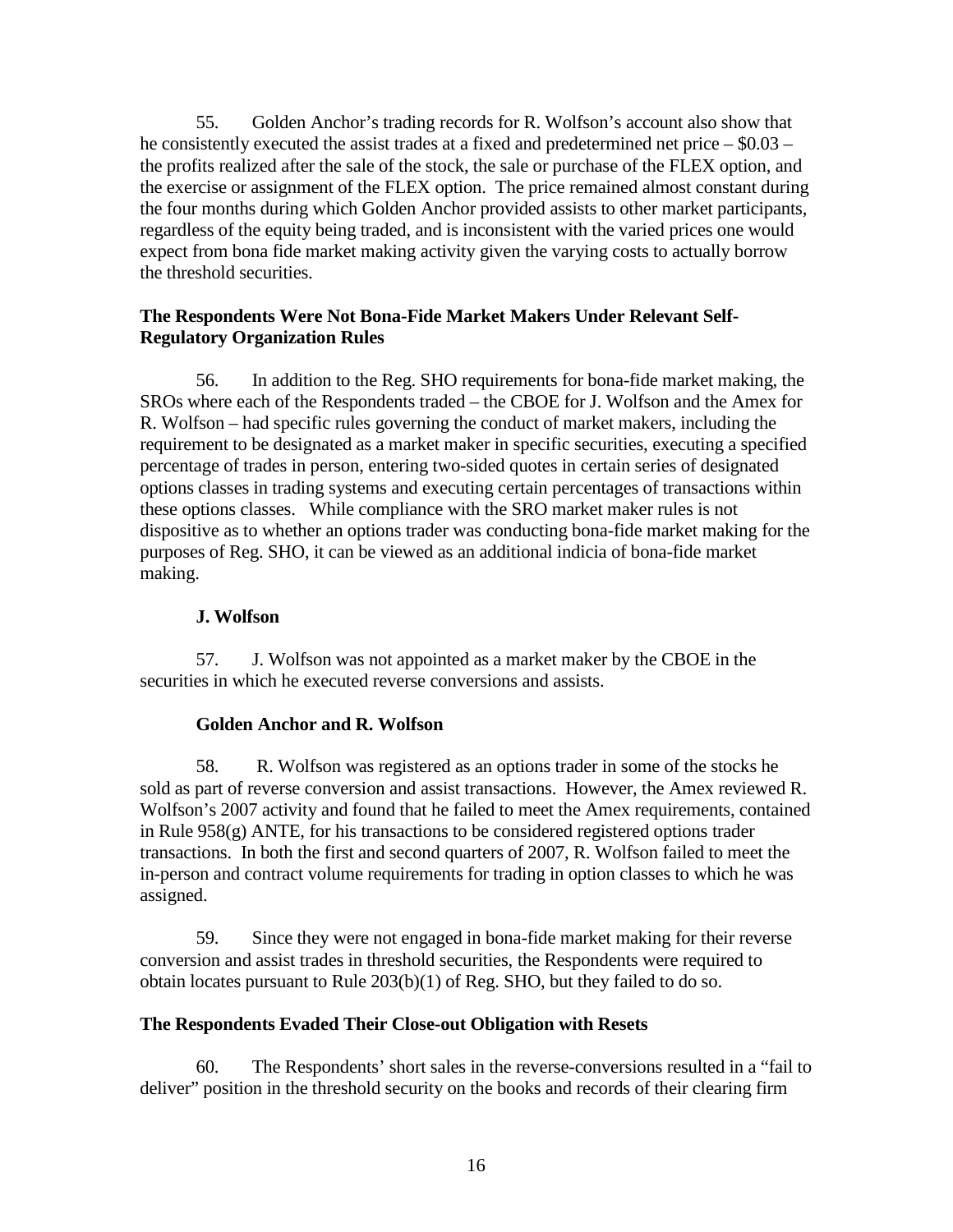55. Golden Anchor's trading records for R. Wolfson's account also show that he consistently executed the assist trades at a fixed and predetermined net price – \$0.03 – the profits realized after the sale of the stock, the sale or purchase of the FLEX option, and the exercise or assignment of the FLEX option. The price remained almost constant during the four months during which Golden Anchor provided assists to other market participants, regardless of the equity being traded, and is inconsistent with the varied prices one would expect from bona fide market making activity given the varying costs to actually borrow the threshold securities.

### **The Respondents Were Not Bona-Fide Market Makers Under Relevant Self-Regulatory Organization Rules**

56. In addition to the Reg. SHO requirements for bona-fide market making, the SROs where each of the Respondents traded – the CBOE for J. Wolfson and the Amex for R. Wolfson – had specific rules governing the conduct of market makers, including the requirement to be designated as a market maker in specific securities, executing a specified percentage of trades in person, entering two-sided quotes in certain series of designated options classes in trading systems and executing certain percentages of transactions within these options classes. While compliance with the SRO market maker rules is not dispositive as to whether an options trader was conducting bona-fide market making for the purposes of Reg. SHO, it can be viewed as an additional indicia of bona-fide market making.

## **J. Wolfson**

57. J. Wolfson was not appointed as a market maker by the CBOE in the securities in which he executed reverse conversions and assists.

### **Golden Anchor and R. Wolfson**

58. R. Wolfson was registered as an options trader in some of the stocks he sold as part of reverse conversion and assist transactions. However, the Amex reviewed R. Wolfson's 2007 activity and found that he failed to meet the Amex requirements, contained in Rule  $958(g)$  ANTE, for his transactions to be considered registered options trader transactions. In both the first and second quarters of 2007, R. Wolfson failed to meet the in-person and contract volume requirements for trading in option classes to which he was assigned.

59. Since they were not engaged in bona-fide market making for their reverse conversion and assist trades in threshold securities, the Respondents were required to obtain locates pursuant to Rule 203(b)(1) of Reg. SHO, but they failed to do so.

### **The Respondents Evaded Their Close-out Obligation with Resets**

60. The Respondents' short sales in the reverse-conversions resulted in a "fail to deliver" position in the threshold security on the books and records of their clearing firm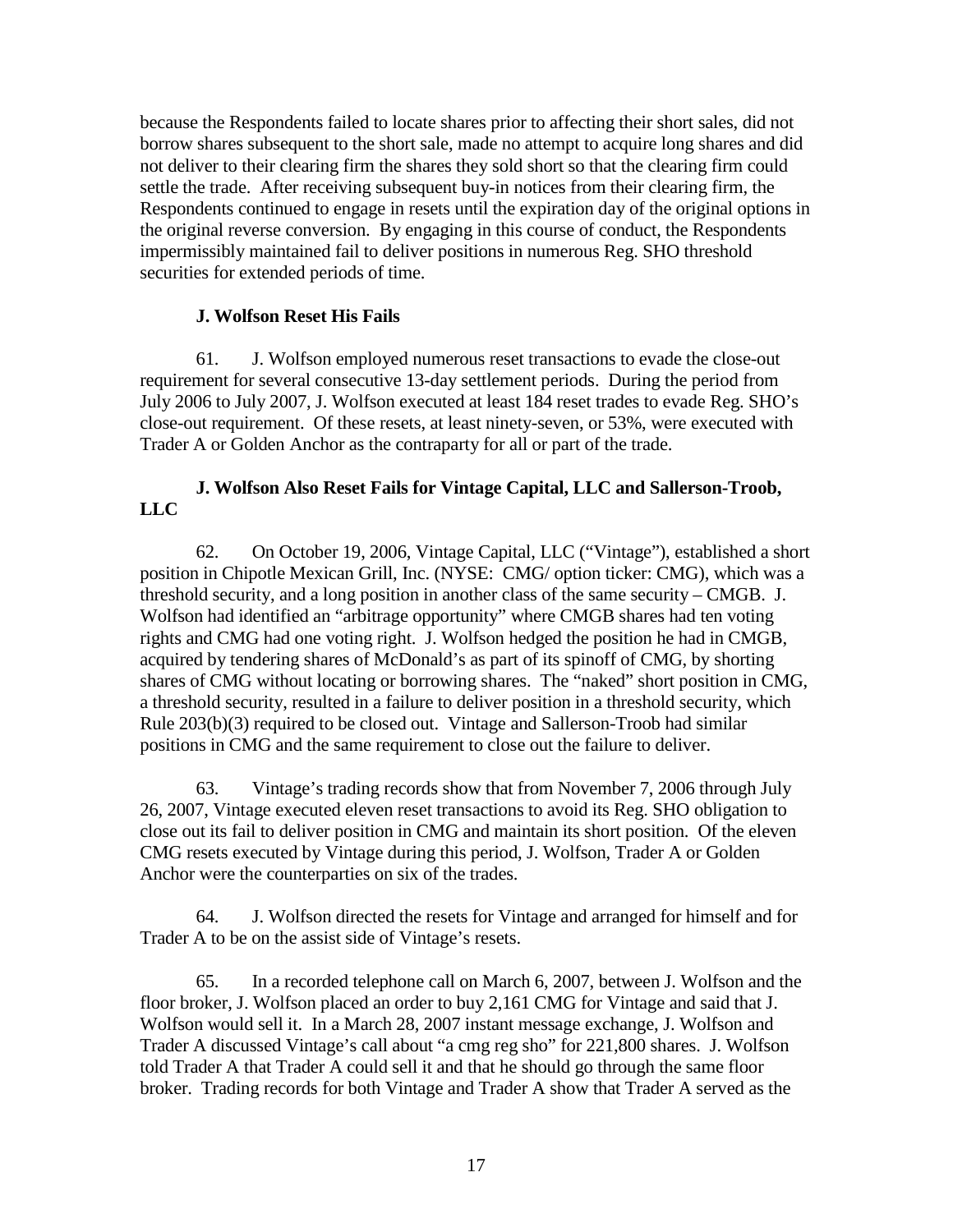because the Respondents failed to locate shares prior to affecting their short sales, did not borrow shares subsequent to the short sale, made no attempt to acquire long shares and did not deliver to their clearing firm the shares they sold short so that the clearing firm could settle the trade. After receiving subsequent buy-in notices from their clearing firm, the Respondents continued to engage in resets until the expiration day of the original options in the original reverse conversion. By engaging in this course of conduct, the Respondents impermissibly maintained fail to deliver positions in numerous Reg. SHO threshold securities for extended periods of time.

### **J. Wolfson Reset His Fails**

61. J. Wolfson employed numerous reset transactions to evade the close-out requirement for several consecutive 13-day settlement periods. During the period from July 2006 to July 2007, J. Wolfson executed at least 184 reset trades to evade Reg. SHO's close-out requirement. Of these resets, at least ninety-seven, or 53%, were executed with Trader A or Golden Anchor as the contraparty for all or part of the trade.

## **J. Wolfson Also Reset Fails for Vintage Capital, LLC and Sallerson-Troob, LLC**

62. On October 19, 2006, Vintage Capital, LLC ("Vintage"), established a short position in Chipotle Mexican Grill, Inc. (NYSE: CMG/ option ticker: CMG), which was a threshold security, and a long position in another class of the same security – CMGB. J. Wolfson had identified an "arbitrage opportunity" where CMGB shares had ten voting rights and CMG had one voting right. J. Wolfson hedged the position he had in CMGB, acquired by tendering shares of McDonald's as part of its spinoff of CMG, by shorting shares of CMG without locating or borrowing shares. The "naked" short position in CMG, a threshold security, resulted in a failure to deliver position in a threshold security, which Rule 203(b)(3) required to be closed out. Vintage and Sallerson-Troob had similar positions in CMG and the same requirement to close out the failure to deliver.

63. Vintage's trading records show that from November 7, 2006 through July 26, 2007, Vintage executed eleven reset transactions to avoid its Reg. SHO obligation to close out its fail to deliver position in CMG and maintain its short position. Of the eleven CMG resets executed by Vintage during this period, J. Wolfson, Trader A or Golden Anchor were the counterparties on six of the trades.

64. J. Wolfson directed the resets for Vintage and arranged for himself and for Trader A to be on the assist side of Vintage's resets.

65. In a recorded telephone call on March 6, 2007, between J. Wolfson and the floor broker, J. Wolfson placed an order to buy 2,161 CMG for Vintage and said that J. Wolfson would sell it. In a March 28, 2007 instant message exchange, J. Wolfson and Trader A discussed Vintage's call about "a cmg reg sho" for 221,800 shares. J. Wolfson told Trader A that Trader A could sell it and that he should go through the same floor broker. Trading records for both Vintage and Trader A show that Trader A served as the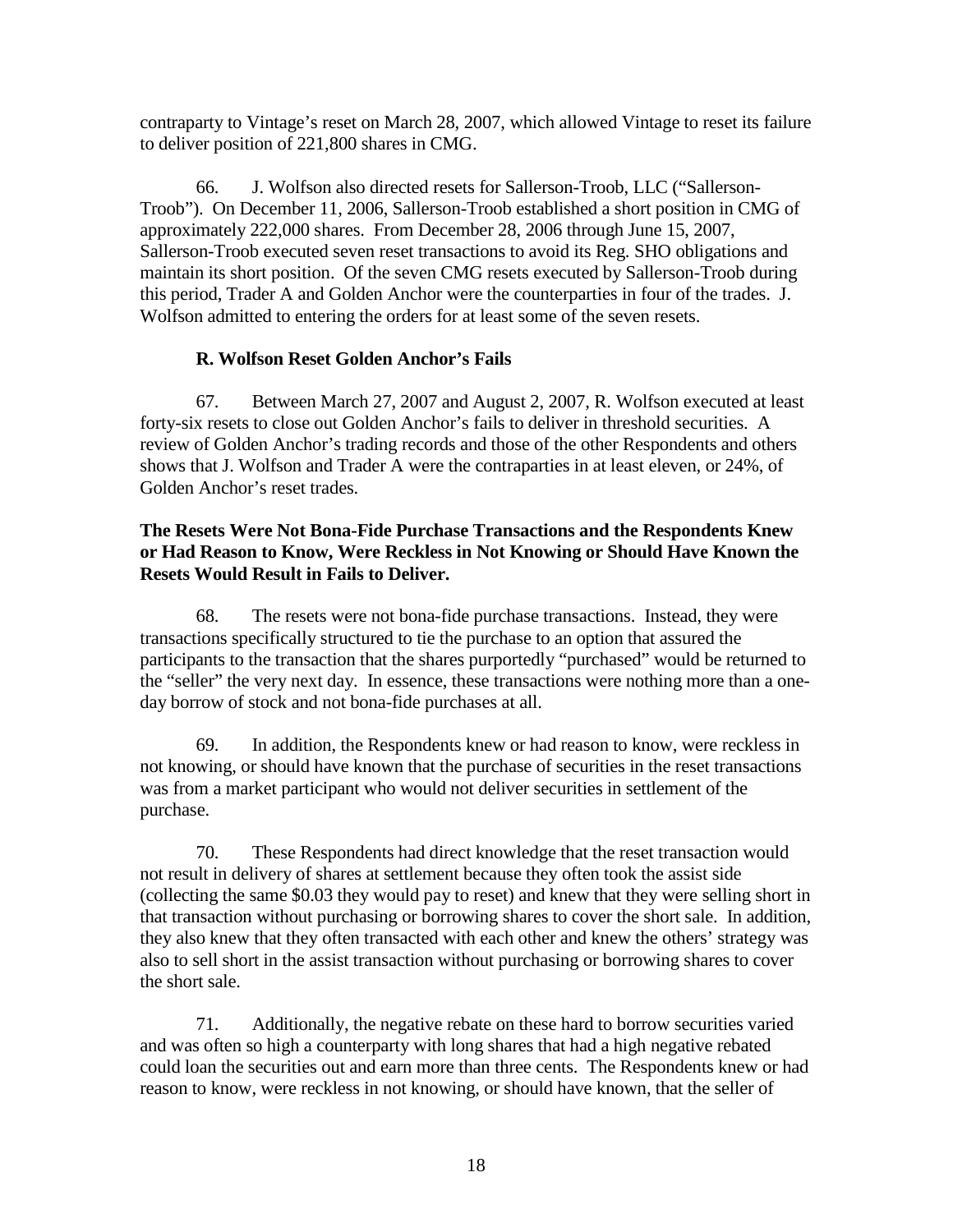contraparty to Vintage's reset on March 28, 2007, which allowed Vintage to reset its failure to deliver position of 221,800 shares in CMG.

66. J. Wolfson also directed resets for Sallerson-Troob, LLC ("Sallerson-Troob"). On December 11, 2006, Sallerson-Troob established a short position in CMG of approximately 222,000 shares. From December 28, 2006 through June 15, 2007, Sallerson-Troob executed seven reset transactions to avoid its Reg. SHO obligations and maintain its short position. Of the seven CMG resets executed by Sallerson-Troob during this period, Trader A and Golden Anchor were the counterparties in four of the trades. J. Wolfson admitted to entering the orders for at least some of the seven resets.

## **R. Wolfson Reset Golden Anchor's Fails**

67. Between March 27, 2007 and August 2, 2007, R. Wolfson executed at least forty-six resets to close out Golden Anchor's fails to deliver in threshold securities. A review of Golden Anchor's trading records and those of the other Respondents and others shows that J. Wolfson and Trader A were the contraparties in at least eleven, or 24%, of Golden Anchor's reset trades.

### **The Resets Were Not Bona-Fide Purchase Transactions and the Respondents Knew or Had Reason to Know, Were Reckless in Not Knowing or Should Have Known the Resets Would Result in Fails to Deliver.**

68. The resets were not bona-fide purchase transactions. Instead, they were transactions specifically structured to tie the purchase to an option that assured the participants to the transaction that the shares purportedly "purchased" would be returned to the "seller" the very next day. In essence, these transactions were nothing more than a oneday borrow of stock and not bona-fide purchases at all.

69. In addition, the Respondents knew or had reason to know, were reckless in not knowing, or should have known that the purchase of securities in the reset transactions was from a market participant who would not deliver securities in settlement of the purchase.

70. These Respondents had direct knowledge that the reset transaction would not result in delivery of shares at settlement because they often took the assist side (collecting the same \$0.03 they would pay to reset) and knew that they were selling short in that transaction without purchasing or borrowing shares to cover the short sale. In addition, they also knew that they often transacted with each other and knew the others' strategy was also to sell short in the assist transaction without purchasing or borrowing shares to cover the short sale.

71. Additionally, the negative rebate on these hard to borrow securities varied and was often so high a counterparty with long shares that had a high negative rebated could loan the securities out and earn more than three cents. The Respondents knew or had reason to know, were reckless in not knowing, or should have known, that the seller of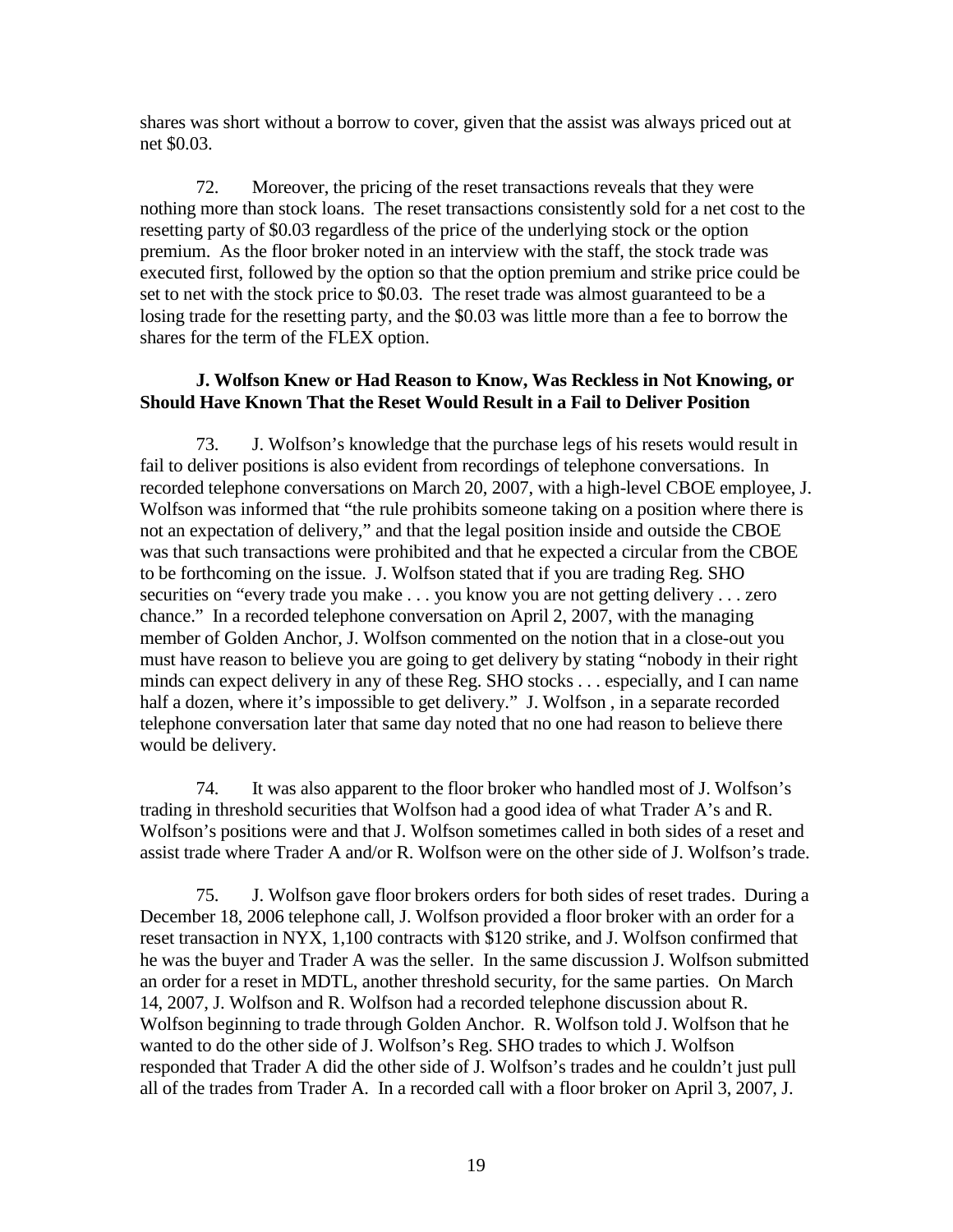shares was short without a borrow to cover, given that the assist was always priced out at net \$0.03.

72. Moreover, the pricing of the reset transactions reveals that they were nothing more than stock loans. The reset transactions consistently sold for a net cost to the resetting party of \$0.03 regardless of the price of the underlying stock or the option premium. As the floor broker noted in an interview with the staff, the stock trade was executed first, followed by the option so that the option premium and strike price could be set to net with the stock price to \$0.03. The reset trade was almost guaranteed to be a losing trade for the resetting party, and the \$0.03 was little more than a fee to borrow the shares for the term of the FLEX option.

### **J. Wolfson Knew or Had Reason to Know, Was Reckless in Not Knowing, or Should Have Known That the Reset Would Result in a Fail to Deliver Position**

73. J. Wolfson's knowledge that the purchase legs of his resets would result in fail to deliver positions is also evident from recordings of telephone conversations. In recorded telephone conversations on March 20, 2007, with a high-level CBOE employee, J. Wolfson was informed that "the rule prohibits someone taking on a position where there is not an expectation of delivery," and that the legal position inside and outside the CBOE was that such transactions were prohibited and that he expected a circular from the CBOE to be forthcoming on the issue. J. Wolfson stated that if you are trading Reg. SHO securities on "every trade you make . . . you know you are not getting delivery . . . zero chance." In a recorded telephone conversation on April 2, 2007, with the managing member of Golden Anchor, J. Wolfson commented on the notion that in a close-out you must have reason to believe you are going to get delivery by stating "nobody in their right minds can expect delivery in any of these Reg. SHO stocks . . . especially, and I can name half a dozen, where it's impossible to get delivery." J. Wolfson, in a separate recorded telephone conversation later that same day noted that no one had reason to believe there would be delivery.

74. It was also apparent to the floor broker who handled most of J. Wolfson's trading in threshold securities that Wolfson had a good idea of what Trader A's and R. Wolfson's positions were and that J. Wolfson sometimes called in both sides of a reset and assist trade where Trader A and/or R. Wolfson were on the other side of J. Wolfson's trade.

75. J. Wolfson gave floor brokers orders for both sides of reset trades. During a December 18, 2006 telephone call, J. Wolfson provided a floor broker with an order for a reset transaction in NYX, 1,100 contracts with \$120 strike, and J. Wolfson confirmed that he was the buyer and Trader A was the seller. In the same discussion J. Wolfson submitted an order for a reset in MDTL, another threshold security, for the same parties. On March 14, 2007, J. Wolfson and R. Wolfson had a recorded telephone discussion about R. Wolfson beginning to trade through Golden Anchor. R. Wolfson told J. Wolfson that he wanted to do the other side of J. Wolfson's Reg. SHO trades to which J. Wolfson responded that Trader A did the other side of J. Wolfson's trades and he couldn't just pull all of the trades from Trader A. In a recorded call with a floor broker on April 3, 2007, J.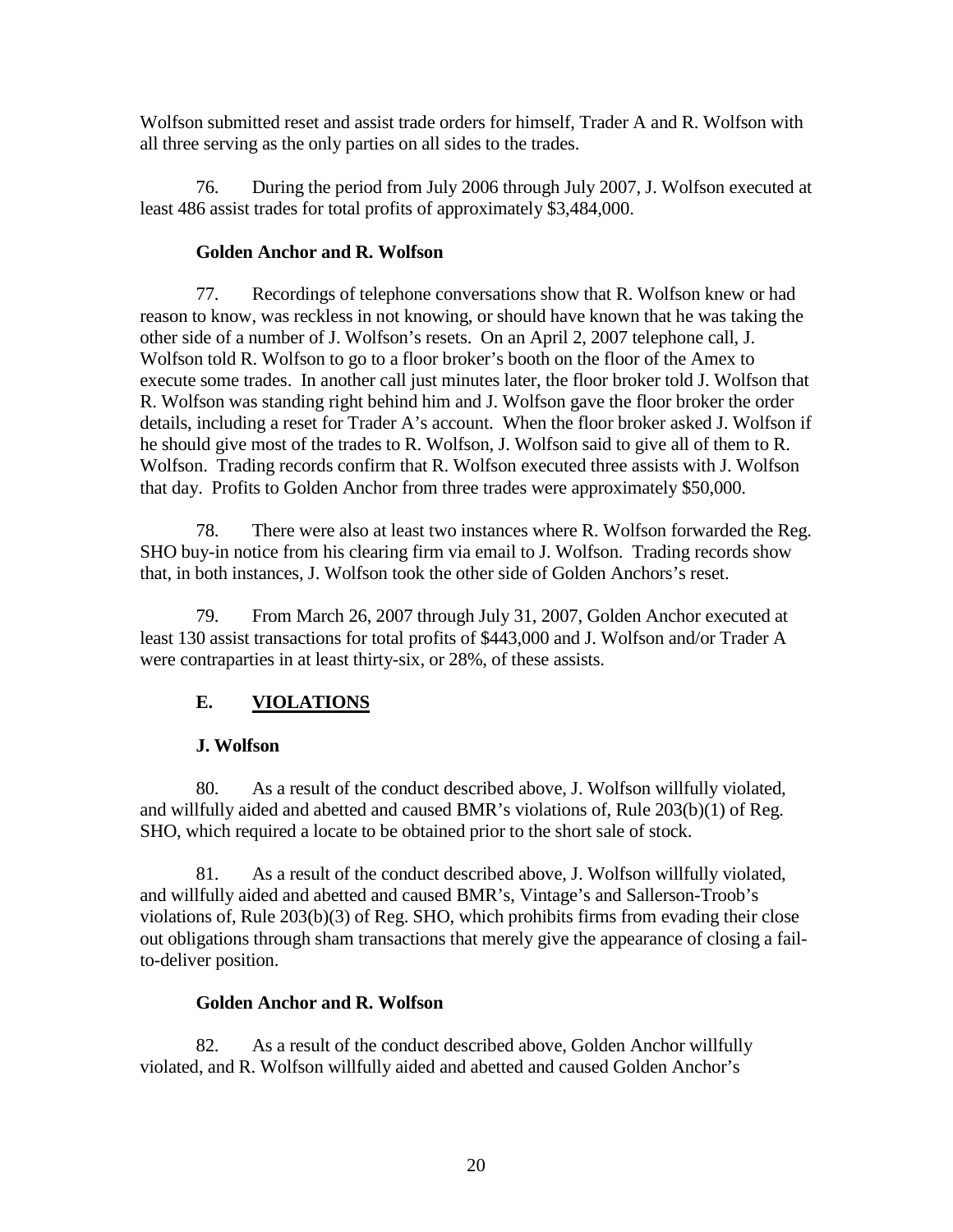Wolfson submitted reset and assist trade orders for himself, Trader A and R. Wolfson with all three serving as the only parties on all sides to the trades.

76. During the period from July 2006 through July 2007, J. Wolfson executed at least 486 assist trades for total profits of approximately \$3,484,000.

### **Golden Anchor and R. Wolfson**

77. Recordings of telephone conversations show that R. Wolfson knew or had reason to know, was reckless in not knowing, or should have known that he was taking the other side of a number of J. Wolfson's resets. On an April 2, 2007 telephone call, J. Wolfson told R. Wolfson to go to a floor broker's booth on the floor of the Amex to execute some trades. In another call just minutes later, the floor broker told J. Wolfson that R. Wolfson was standing right behind him and J. Wolfson gave the floor broker the order details, including a reset for Trader A's account. When the floor broker asked J. Wolfson if he should give most of the trades to R. Wolfson, J. Wolfson said to give all of them to R. Wolfson. Trading records confirm that R. Wolfson executed three assists with J. Wolfson that day. Profits to Golden Anchor from three trades were approximately \$50,000.

78. There were also at least two instances where R. Wolfson forwarded the Reg. SHO buy-in notice from his clearing firm via email to J. Wolfson. Trading records show that, in both instances, J. Wolfson took the other side of Golden Anchors's reset.

79. From March 26, 2007 through July 31, 2007, Golden Anchor executed at least 130 assist transactions for total profits of \$443,000 and J. Wolfson and/or Trader A were contraparties in at least thirty-six, or 28%, of these assists.

# **E. VIOLATIONS**

## **J. Wolfson**

80. As a result of the conduct described above, J. Wolfson willfully violated, and willfully aided and abetted and caused BMR's violations of, Rule 203(b)(1) of Reg. SHO, which required a locate to be obtained prior to the short sale of stock.

81. As a result of the conduct described above, J. Wolfson willfully violated, and willfully aided and abetted and caused BMR's, Vintage's and Sallerson-Troob's violations of, Rule 203(b)(3) of Reg. SHO, which prohibits firms from evading their close out obligations through sham transactions that merely give the appearance of closing a failto-deliver position.

## **Golden Anchor and R. Wolfson**

82. As a result of the conduct described above, Golden Anchor willfully violated, and R. Wolfson willfully aided and abetted and caused Golden Anchor's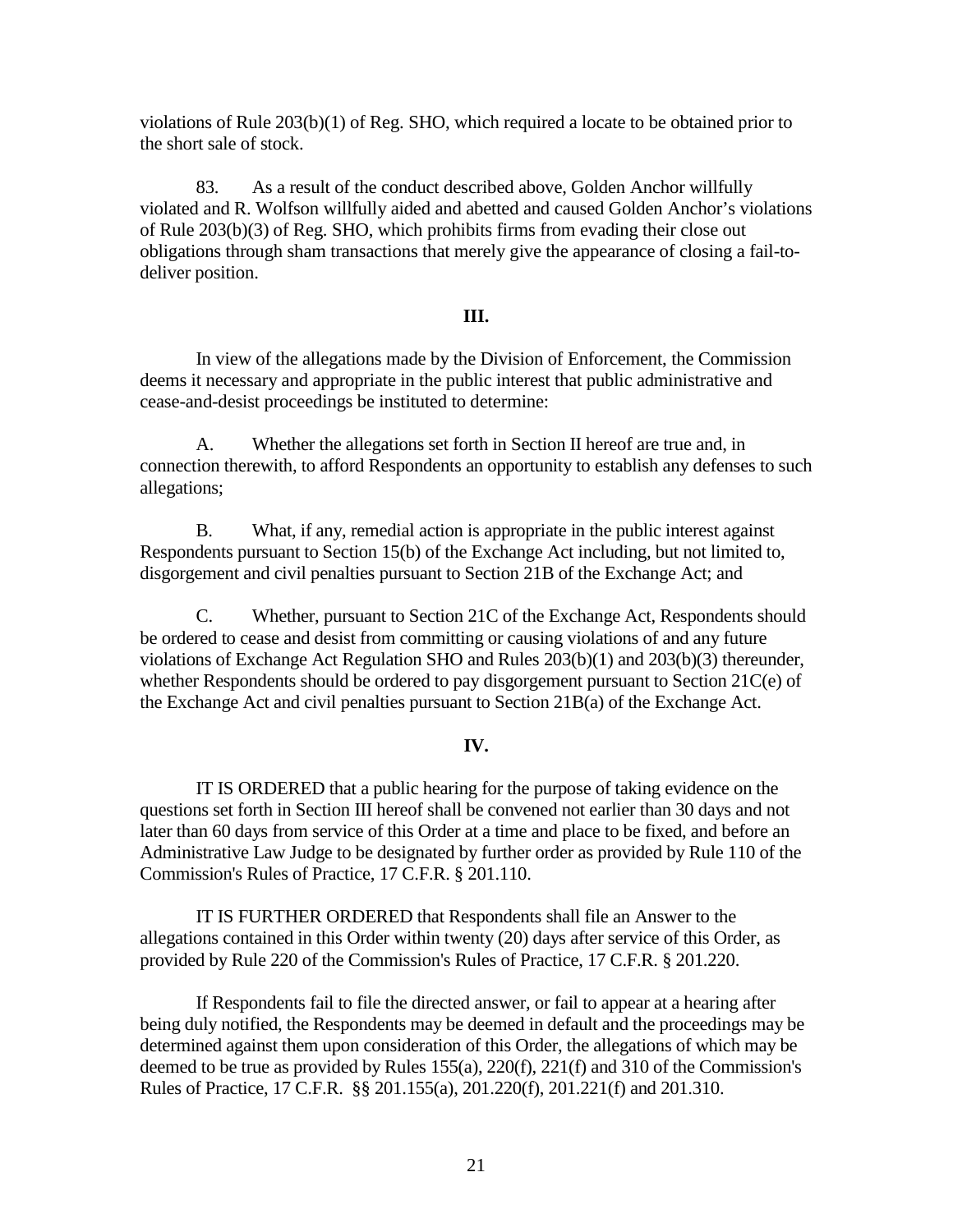violations of Rule 203(b)(1) of Reg. SHO, which required a locate to be obtained prior to the short sale of stock.

83. As a result of the conduct described above, Golden Anchor willfully violated and R. Wolfson willfully aided and abetted and caused Golden Anchor's violations of Rule 203(b)(3) of Reg. SHO, which prohibits firms from evading their close out obligations through sham transactions that merely give the appearance of closing a fail-todeliver position.

#### **III.**

In view of the allegations made by the Division of Enforcement, the Commission deems it necessary and appropriate in the public interest that public administrative and cease-and-desist proceedings be instituted to determine:

A. Whether the allegations set forth in Section II hereof are true and, in connection therewith, to afford Respondents an opportunity to establish any defenses to such allegations;

B. What, if any, remedial action is appropriate in the public interest against Respondents pursuant to Section 15(b) of the Exchange Act including, but not limited to, disgorgement and civil penalties pursuant to Section 21B of the Exchange Act; and

C. Whether, pursuant to Section 21C of the Exchange Act, Respondents should be ordered to cease and desist from committing or causing violations of and any future violations of Exchange Act Regulation SHO and Rules 203(b)(1) and 203(b)(3) thereunder, whether Respondents should be ordered to pay disgorgement pursuant to Section 21C(e) of the Exchange Act and civil penalties pursuant to Section 21B(a) of the Exchange Act.

#### **IV.**

IT IS ORDERED that a public hearing for the purpose of taking evidence on the questions set forth in Section III hereof shall be convened not earlier than 30 days and not later than 60 days from service of this Order at a time and place to be fixed, and before an Administrative Law Judge to be designated by further order as provided by Rule 110 of the Commission's Rules of Practice, 17 C.F.R. § 201.110.

IT IS FURTHER ORDERED that Respondents shall file an Answer to the allegations contained in this Order within twenty (20) days after service of this Order, as provided by Rule 220 of the Commission's Rules of Practice, 17 C.F.R. § 201.220.

If Respondents fail to file the directed answer, or fail to appear at a hearing after being duly notified, the Respondents may be deemed in default and the proceedings may be determined against them upon consideration of this Order, the allegations of which may be deemed to be true as provided by Rules 155(a), 220(f), 221(f) and 310 of the Commission's Rules of Practice, 17 C.F.R. §§ 201.155(a), 201.220(f), 201.221(f) and 201.310.